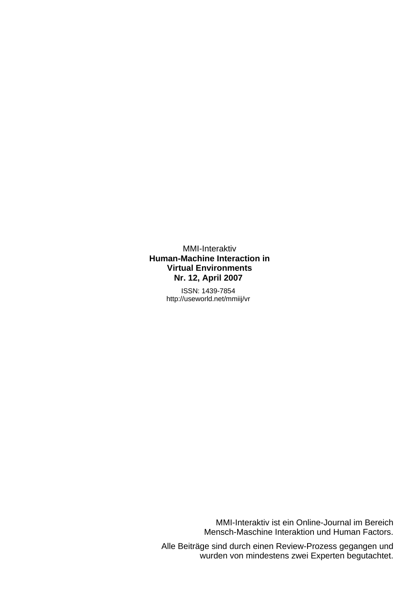MMI-Interaktiv **Human-Machine Interaction in Virtual Environments Nr. 12, April 2007** 

> ISSN: 1439-7854 <http://useworld.net/mmiij/vr>

> > MMI-Interaktiv ist ein Online-Journal im Bereich Mensch-Maschine Interaktion und Human Factors.

Alle Beiträge sind durch einen Review-Prozess gegangen und wurden von mindestens zwei Experten begutachtet.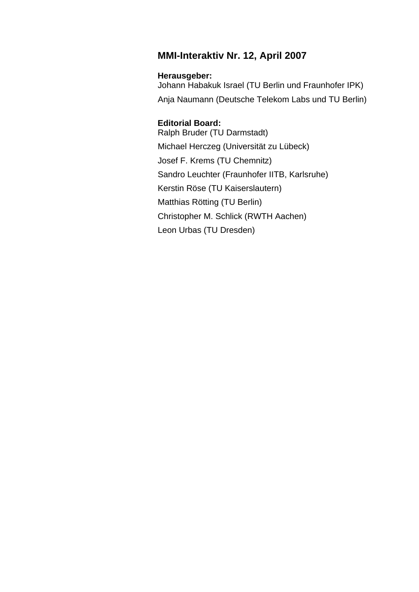## **MMI-Interaktiv Nr. 12, April 2007**

#### **Herausgeber:**

Johann Habakuk Israel (TU Berlin und Fraunhofer IPK) Anja Naumann (Deutsche Telekom Labs und TU Berlin)

**Editorial Board:**  Ralph Bruder (TU Darmstadt) Michael Herczeg (Universität zu Lübeck) Josef F. Krems (TU Chemnitz) Sandro Leuchter (Fraunhofer IITB, Karlsruhe) Kerstin Röse (TU Kaiserslautern) Matthias Rötting (TU Berlin) Christopher M. Schlick (RWTH Aachen) Leon Urbas (TU Dresden)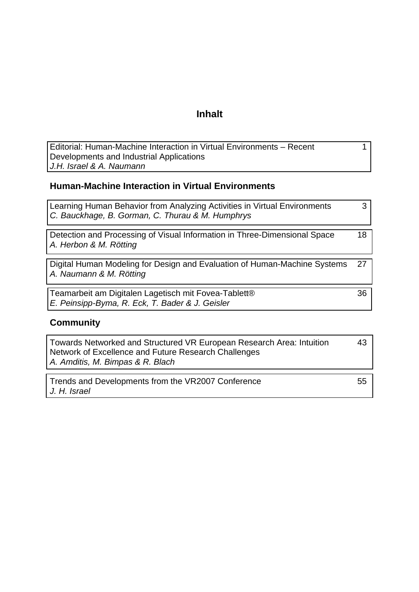# **Inhalt**

| Editorial: Human-Machine Interaction in Virtual Environments - Recent<br>Developments and Industrial Applications<br>J.H. Israel & A. Naumann                     | 1  |
|-------------------------------------------------------------------------------------------------------------------------------------------------------------------|----|
| <b>Human-Machine Interaction in Virtual Environments</b>                                                                                                          |    |
| Learning Human Behavior from Analyzing Activities in Virtual Environments<br>C. Bauckhage, B. Gorman, C. Thurau & M. Humphrys                                     | 3  |
| Detection and Processing of Visual Information in Three-Dimensional Space<br>A. Herbon & M. Rötting                                                               | 18 |
| Digital Human Modeling for Design and Evaluation of Human-Machine Systems<br>A. Naumann & M. Rötting                                                              | 27 |
| Teamarbeit am Digitalen Lagetisch mit Fovea-Tablett®<br>E. Peinsipp-Byma, R. Eck, T. Bader & J. Geisler                                                           | 36 |
| <b>Community</b>                                                                                                                                                  |    |
| Towards Networked and Structured VR European Research Area: Intuition<br>Network of Excellence and Future Research Challenges<br>A. Amditis, M. Bimpas & R. Blach | 43 |
| Trends and Developments from the VR2007 Conference<br>J. H. Israel                                                                                                | 55 |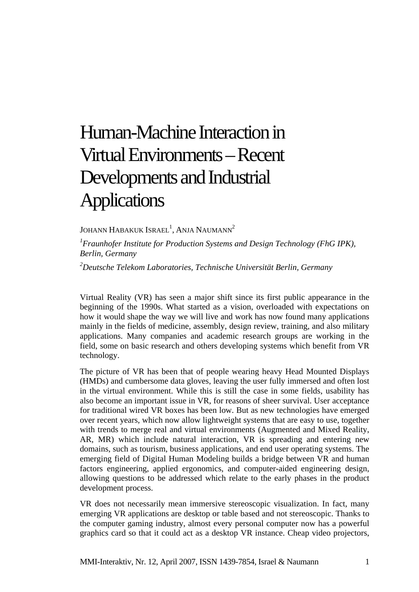# <span id="page-4-0"></span>Human-Machine Interaction in Virtual Environments – Recent Developments and Industrial **Applications**

JOHANN  ${\rm H}$ abakuk Israel $^1$ , Anja Naumann $^2$ 

<sup>1</sup> Fraunhofer Institute for Production Systems and Design Technology (FhG IPK), *Berlin, Germany* 

*2 Deutsche Telekom Laboratories, Technische Universität Berlin, Germany* 

Virtual Reality (VR) has seen a major shift since its first public appearance in the beginning of the 1990s. What started as a vision, overloaded with expectations on how it would shape the way we will live and work has now found many applications mainly in the fields of medicine, assembly, design review, training, and also military applications. Many companies and academic research groups are working in the field, some on basic research and others developing systems which benefit from VR technology.

The picture of VR has been that of people wearing heavy Head Mounted Displays (HMDs) and cumbersome data gloves, leaving the user fully immersed and often lost in the virtual environment. While this is still the case in some fields, usability has also become an important issue in VR, for reasons of sheer survival. User acceptance for traditional wired VR boxes has been low. But as new technologies have emerged over recent years, which now allow lightweight systems that are easy to use, together with trends to merge real and virtual environments (Augmented and Mixed Reality, AR, MR) which include natural interaction, VR is spreading and entering new domains, such as tourism, business applications, and end user operating systems. The emerging field of Digital Human Modeling builds a bridge between VR and human factors engineering, applied ergonomics, and computer-aided engineering design, allowing questions to be addressed which relate to the early phases in the product development process.

VR does not necessarily mean immersive stereoscopic visualization. In fact, many emerging VR applications are desktop or table based and not stereoscopic. Thanks to the computer gaming industry, almost every personal computer now has a powerful graphics card so that it could act as a desktop VR instance. Cheap video projectors,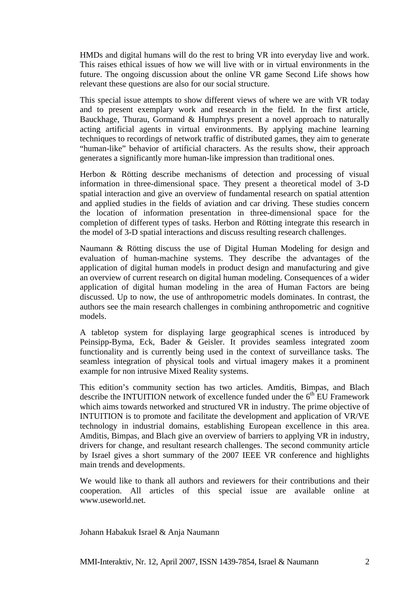HMDs and digital humans will do the rest to bring VR into everyday live and work. This raises ethical issues of how we will live with or in virtual environments in the future. The ongoing discussion about the online VR game Second Life shows how relevant these questions are also for our social structure.

This special issue attempts to show different views of where we are with VR today and to present exemplary work and research in the field. In the first article, Bauckhage, Thurau, Gormand & Humphrys present a novel approach to naturally acting artificial agents in virtual environments. By applying machine learning techniques to recordings of network traffic of distributed games, they aim to generate "human-like" behavior of artificial characters. As the results show, their approach generates a significantly more human-like impression than traditional ones.

Herbon & Rötting describe mechanisms of detection and processing of visual information in three-dimensional space. They present a theoretical model of 3-D spatial interaction and give an overview of fundamental research on spatial attention and applied studies in the fields of aviation and car driving. These studies concern the location of information presentation in three-dimensional space for the completion of different types of tasks. Herbon and Rötting integrate this research in the model of 3-D spatial interactions and discuss resulting research challenges.

Naumann & Rötting discuss the use of Digital Human Modeling for design and evaluation of human-machine systems. They describe the advantages of the application of digital human models in product design and manufacturing and give an overview of current research on digital human modeling. Consequences of a wider application of digital human modeling in the area of Human Factors are being discussed. Up to now, the use of anthropometric models dominates. In contrast, the authors see the main research challenges in combining anthropometric and cognitive models.

A tabletop system for displaying large geographical scenes is introduced by Peinsipp-Byma, Eck, Bader & Geisler. It provides seamless integrated zoom functionality and is currently being used in the context of surveillance tasks. The seamless integration of physical tools and virtual imagery makes it a prominent example for non intrusive Mixed Reality systems.

This edition's community section has two articles. Amditis, Bimpas, and Blach describe the INTUITION network of excellence funded under the  $6<sup>th</sup>$  EU Framework which aims towards networked and structured VR in industry. The prime objective of INTUITION is to promote and facilitate the development and application of VR/VE technology in industrial domains, establishing European excellence in this area. Amditis, Bimpas, and Blach give an overview of barriers to applying VR in industry, drivers for change, and resultant research challenges. The second community article by Israel gives a short summary of the 2007 IEEE VR conference and highlights main trends and developments.

We would like to thank all authors and reviewers for their contributions and their cooperation. All articles of this special issue are available online at [www.useworld.net](http://www.useworld.net/)

Johann Habakuk Israel & Anja Naumann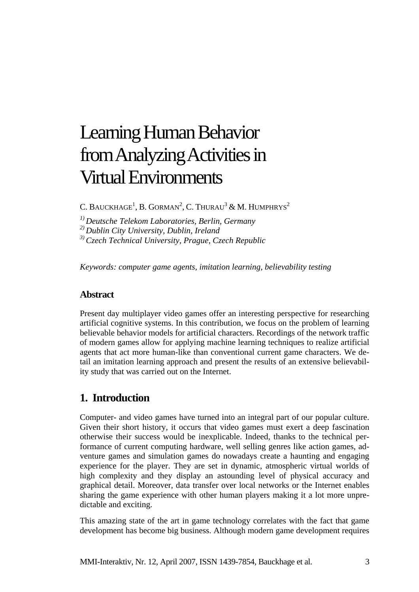# <span id="page-6-0"></span>Learning Human Behavior from Analyzing Activities in Virtual Environments

C. BAUCKHAGE<sup>1</sup>, B. GORMAN<sup>2</sup>, C. THURAU<sup>3</sup> & M. HUMPHRYS<sup>2</sup>

*1) Deutsche Telekom Laboratories, Berlin, Germany* 

*2) Dublin City University, Dublin, Ireland* 

*3)Czech Technical University, Prague, Czech Republic* 

*Keywords: computer game agents, imitation learning, believability testing* 

#### **Abstract**

Present day multiplayer video games offer an interesting perspective for researching artificial cognitive systems. In this contribution, we focus on the problem of learning believable behavior models for artificial characters. Recordings of the network traffic of modern games allow for applying machine learning techniques to realize artificial agents that act more human-like than conventional current game characters. We detail an imitation learning approach and present the results of an extensive believability study that was carried out on the Internet.

# **1. Introduction**

Computer- and video games have turned into an integral part of our popular culture. Given their short history, it occurs that video games must exert a deep fascination otherwise their success would be inexplicable. Indeed, thanks to the technical performance of current computing hardware, well selling genres like action games, adventure games and simulation games do nowadays create a haunting and engaging experience for the player. They are set in dynamic, atmospheric virtual worlds of high complexity and they display an astounding level of physical accuracy and graphical detail. Moreover, data transfer over local networks or the Internet enables sharing the game experience with other human players making it a lot more unpredictable and exciting.

This amazing state of the art in game technology correlates with the fact that game development has become big business. Although modern game development requires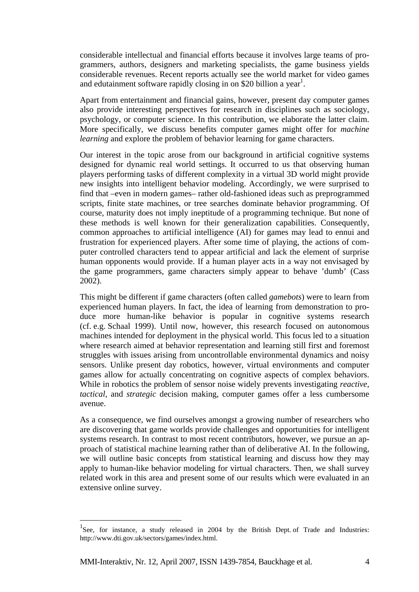considerable intellectual and financial efforts because it involves large teams of programmers, authors, designers and marketing specialists, the game business yields considerable revenues. Recent reports actually see the world market for video games and edutainment software rapidly closing in on \$20 billion a year<sup>[1](#page-7-0)</sup>.

Apart from entertainment and financial gains, however, present day computer games also provide interesting perspectives for research in disciplines such as sociology, psychology, or computer science. In this contribution, we elaborate the latter claim. More specifically, we discuss benefits computer games might offer for *machine learning* and explore the problem of behavior learning for game characters.

Our interest in the topic arose from our background in artificial cognitive systems designed for dynamic real world settings. It occurred to us that observing human players performing tasks of different complexity in a virtual 3D world might provide new insights into intelligent behavior modeling. Accordingly, we were surprised to find that –even in modern games– rather old-fashioned ideas such as preprogrammed scripts, finite state machines, or tree searches dominate behavior programming. Of course, maturity does not imply ineptitude of a programming technique. But none of these methods is well known for their generalization capabilities. Consequently, common approaches to artificial intelligence (AI) for games may lead to ennui and frustration for experienced players. After some time of playing, the actions of computer controlled characters tend to appear artificial and lack the element of surprise human opponents would provide. If a human player acts in a way not envisaged by the game programmers, game characters simply appear to behave 'dumb' (Cass 2002).

This might be different if game characters (often called *gamebots*) were to learn from experienced human players. In fact, the idea of learning from demonstration to produce more human-like behavior is popular in cognitive systems research (cf. e.g. Schaal 1999). Until now, however, this research focused on autonomous machines intended for deployment in the physical world. This focus led to a situation where research aimed at behavior representation and learning still first and foremost struggles with issues arising from uncontrollable environmental dynamics and noisy sensors. Unlike present day robotics, however, virtual environments and computer games allow for actually concentrating on cognitive aspects of complex behaviors. While in robotics the problem of sensor noise widely prevents investigating *reactive*, *tactical*, and *strategic* decision making, computer games offer a less cumbersome avenue.

As a consequence, we find ourselves amongst a growing number of researchers who are discovering that game worlds provide challenges and opportunities for intelligent systems research. In contrast to most recent contributors, however, we pursue an approach of statistical machine learning rather than of deliberative AI. In the following, we will outline basic concepts from statistical learning and discuss how they may apply to human-like behavior modeling for virtual characters. Then, we shall survey related work in this area and present some of our results which were evaluated in an extensive online survey.

 $\overline{a}$ 

<span id="page-7-0"></span><sup>&</sup>lt;sup>1</sup>See, for instance, a study released in 2004 by the British Dept of Trade and Industries: http://www.dti.gov.uk/sectors/games/index.html.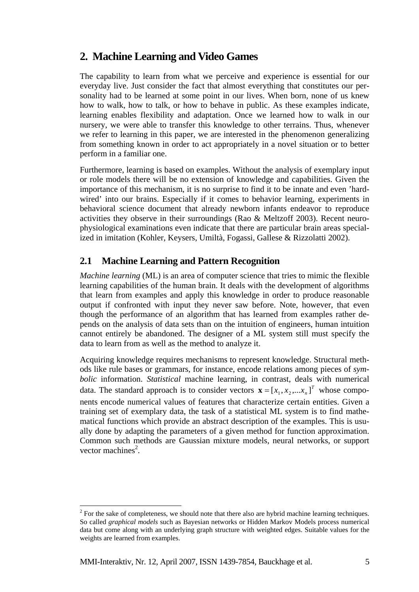# **2. Machine Learning and Video Games**

The capability to learn from what we perceive and experience is essential for our everyday live. Just consider the fact that almost everything that constitutes our personality had to be learned at some point in our lives. When born, none of us knew how to walk, how to talk, or how to behave in public. As these examples indicate, learning enables flexibility and adaptation. Once we learned how to walk in our nursery, we were able to transfer this knowledge to other terrains. Thus, whenever we refer to learning in this paper, we are interested in the phenomenon generalizing from something known in order to act appropriately in a novel situation or to better perform in a familiar one.

Furthermore, learning is based on examples. Without the analysis of exemplary input or role models there will be no extension of knowledge and capabilities. Given the importance of this mechanism, it is no surprise to find it to be innate and even 'hardwired' into our brains. Especially if it comes to behavior learning, experiments in behavioral science document that already newborn infants endeavor to reproduce activities they observe in their surroundings (Rao & Meltzoff 2003). Recent neurophysiological examinations even indicate that there are particular brain areas specialized in imitation (Kohler, Keysers, Umiltà, Fogassi, Gallese & Rizzolatti 2002).

## **2.1 Machine Learning and Pattern Recognition**

*Machine learning* (ML) is an area of computer science that tries to mimic the flexible learning capabilities of the human brain. It deals with the development of algorithms that learn from examples and apply this knowledge in order to produce reasonable output if confronted with input they never saw before. Note, however, that even though the performance of an algorithm that has learned from examples rather depends on the analysis of data sets than on the intuition of engineers, human intuition cannot entirely be abandoned. The designer of a ML system still must specify the data to learn from as well as the method to analyze it.

Acquiring knowledge requires mechanisms to represent knowledge. Structural methods like rule bases or grammars, for instance, encode relations among pieces of *symbolic* information. *Statistical* machine learning, in contrast, deals with numerical data. The standard approach is to consider vectors  $\mathbf{x} = [x_1, x_2, \dots, x_n]^T$  whose components encode numerical values of features that characterize certain entities. Given a training set of exemplary data, the task of a statistical ML system is to find mathematical functions which provide an abstract description of the examples. This is usually done by adapting the parameters of a given method for function approximation. Common such methods are Gaussian mixture models, neural networks, or support vector machines<sup>[2](#page-8-0)</sup>.

 $\overline{a}$ 

<span id="page-8-0"></span> $2^2$  For the sake of completeness, we should note that there also are hybrid machine learning techniques. So called *graphical models* such as Bayesian networks or Hidden Markov Models process numerical data but come along with an underlying graph structure with weighted edges. Suitable values for the weights are learned from examples.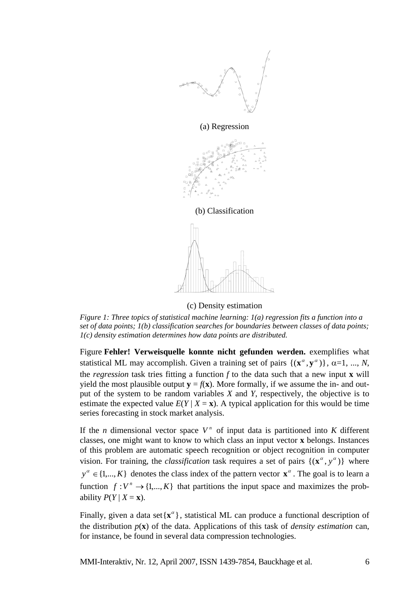

(c) Density estimation

*Figure 1: Three topics of statistical machine learning: 1(a) regression fits a function into a set of data points; 1(b) classification searches for boundaries between classes of data points; 1(c) density estimation determines how data points are distributed.* 

Figure **[Fehler! Verweisquelle konnte nicht gefunden werden.](#page-7-0)** exemplifies what statistical ML may accomplish. Given a training set of pairs  $\{(\mathbf{x}^{\alpha}, \mathbf{y}^{\alpha})\}, \alpha=1, ..., N$ , the *regression* task tries fitting a function *f* to the data such that a new input **x** will yield the most plausible output  $\mathbf{v} = f(\mathbf{x})$ . More formally, if we assume the in- and output of the system to be random variables *X* and *Y*, respectively, the objective is to estimate the expected value  $E(Y | X = x)$ . A typical application for this would be time series forecasting in stock market analysis.

If the *n* dimensional vector space  $V<sup>n</sup>$  of input data is partitioned into *K* different classes, one might want to know to which class an input vector **x** belongs. Instances of this problem are automatic speech recognition or object recognition in computer vision. For training, the *classification* task requires a set of pairs  $\{({\bf x}^{\alpha}, y^{\alpha})\}$  where  $y^{\alpha} \in \{1,..., K\}$  denotes the class index of the pattern vector  $\mathbf{x}^{\alpha}$ . The goal is to learn a function  $f: V^n \to \{1,..., K\}$  that partitions the input space and maximizes the probability  $P(Y | X = x)$ .

Finally, given a data set  $\{x^{\alpha}\}\$ , statistical ML can produce a functional description of the distribution  $p(x)$  of the data. Applications of this task of *density estimation* can, for instance, be found in several data compression technologies.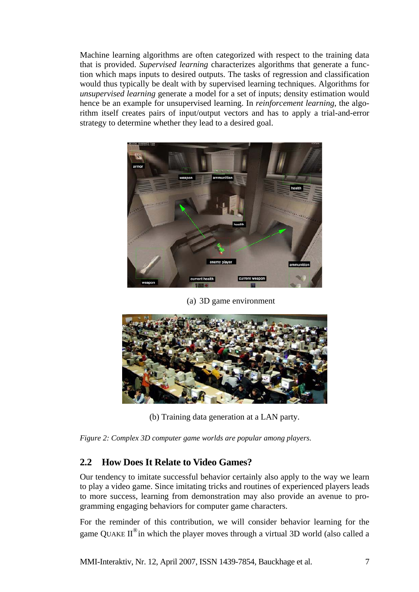Machine learning algorithms are often categorized with respect to the training data that is provided. *Supervised learning* characterizes algorithms that generate a function which maps inputs to desired outputs. The tasks of regression and classification would thus typically be dealt with by supervised learning techniques. Algorithms for *unsupervised learning* generate a model for a set of inputs; density estimation would hence be an example for unsupervised learning. In *reinforcement learning*, the algorithm itself creates pairs of input/output vectors and has to apply a trial-and-error strategy to determine whether they lead to a desired goal.



(a) 3D game environment



(b) Training data generation at a LAN party.

*Figure 2: Complex 3D computer game worlds are popular among players.* 

## **2.2 How Does It Relate to Video Games?**

Our tendency to imitate successful behavior certainly also apply to the way we learn to play a video game. Since imitating tricks and routines of experienced players leads to more success, learning from demonstration may also provide an avenue to programming engaging behaviors for computer game characters.

For the reminder of this contribution, we will consider behavior learning for the game QUAKE  $II^{\circledast}$  in which the player moves through a virtual 3D world (also called a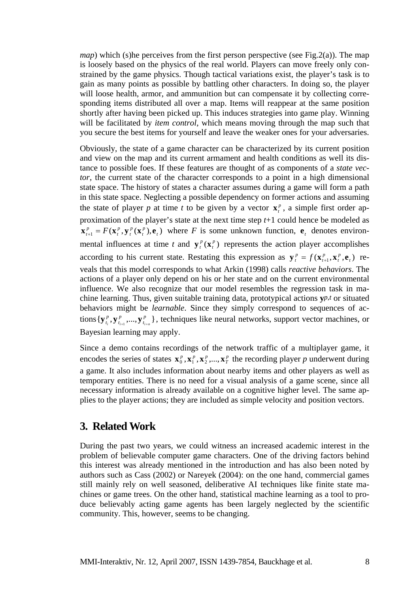*map*) which (s)he perceives from the first person perspective (see Fig.2(a)). The map is loosely based on the physics of the real world. Players can move freely only constrained by the game physics. Though tactical variations exist, the player's task is to gain as many points as possible by battling other characters. In doing so, the player will loose health, armor, and ammunition but can compensate it by collecting corresponding items distributed all over a map. Items will reappear at the same position shortly after having been picked up. This induces strategies into game play. Winning will be facilitated by *item control*, which means moving through the map such that you secure the best items for yourself and leave the weaker ones for your adversaries.

Obviously, the state of a game character can be characterized by its current position and view on the map and its current armament and health conditions as well its distance to possible foes. If these features are thought of as components of a *state vector*, the current state of the character corresponds to a point in a high dimensional state space. The history of states a character assumes during a game will form a path in this state space. Neglecting a possible dependency on former actions and assuming the state of player p at time t to be given by a vector  $\mathbf{x}_t^p$ , a simple first order approximation of the player's state at the next time step *t*+1 could hence be modeled as  $\mathbf{F}_1 = F(\mathbf{x}_t^p, \mathbf{y}_t^p(\mathbf{x}_t^p), \mathbf{e}_t)$  where *F* is some unknown function,  $\mathbf{e}_t$  denotes environmental influences at time *t* and  $y_t^p(x_t^p)$  represents the action player accomplishes according to his current state. Restating this expression as  $y_t^p = f(x_{t+1}^p, x_t^p, e_t)$  reveals that this model corresponds to what Arkin (1998) calls *reactive behaviors*. The actions of a player only depend on his or her state and on the current environmental influence. We also recognize that our model resembles the regression task in machine learning. Thus, given suitable training data, prototypical actions **y***p*,*t* or situated *t p t p*  $\mathbf{x}_{t+1}^p = F(\mathbf{x}_t^p, \mathbf{y}_t^p(\mathbf{x}_t^p), \mathbf{e}_t)$  where *F* is some unknown function,  $\mathbf{e}_t$  $\mathbf{y}^{\,p}_{t}(\mathbf{x})$ *t p t*  ${\bf y}_{t}^{p} = f({\bf x}_{t+1}^{p},{\bf x}_{t}^{p},{\bf e}_{t})$ behaviors might be *learnable*. Since they simply correspond to sequences of actions  $\{y_{t_i}^p, y_{t_{i+1}}^p, ..., y_{t_{i+n}}^p\}$ , techniques like neural networks, support vector machines, or Bayesian learning may apply. *t p t*  $\mathbf{y}_{t_i}^p$  ,  $\mathbf{y}_{t_{i+1}}^p$  , . . . ,  $\mathbf{y}_{t_{i+n}}^p$ 

Since a demo contains recordings of the network traffic of a multiplayer game, it encodes the series of states  $\mathbf{x}_0^p$ ,  $\mathbf{x}_1^p$ ,  $\mathbf{x}_2^p$ , ...,  $\mathbf{x}_T^p$  the recording player *p* underwent during a game. It also includes information about nearby items and other players as well as temporary entities. There is no need for a visual analysis of a game scene, since all necessary information is already available on a cognitive higher level. The same applies to the player actions; they are included as simple velocity and position vectors.  $\mathbf{x}_0^p$  ,  $\mathbf{x}_1^p$  ,  $\mathbf{x}_2^p$  ,...,  $\mathbf{x}_T^p$ 

## **3. Related Work**

During the past two years, we could witness an increased academic interest in the problem of believable computer game characters. One of the driving factors behind this interest was already mentioned in the introduction and has also been noted by authors such as Cass (2002) or Nareyek (2004): on the one hand, commercial games still mainly rely on well seasoned, deliberative AI techniques like finite state machines or game trees. On the other hand, statistical machine learning as a tool to produce believably acting game agents has been largely neglected by the scientific community. This, however, seems to be changing.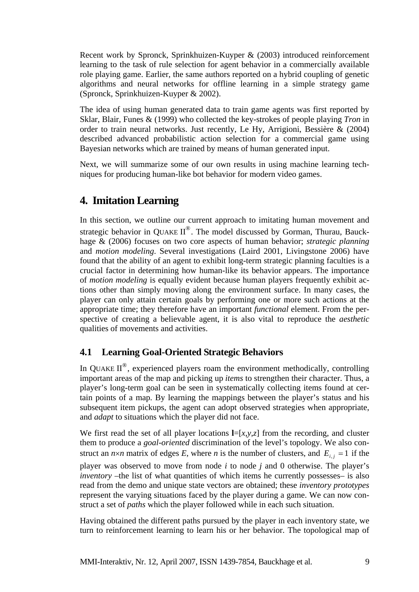Recent work by Spronck, Sprinkhuizen-Kuyper & (2003) introduced reinforcement learning to the task of rule selection for agent behavior in a commercially available role playing game. Earlier, the same authors reported on a hybrid coupling of genetic algorithms and neural networks for offline learning in a simple strategy game (Spronck, Sprinkhuizen-Kuyper & 2002).

The idea of using human generated data to train game agents was first reported by Sklar, Blair, Funes & (1999) who collected the key-strokes of people playing *Tron* in order to train neural networks. Just recently, Le Hy, Arrigioni, Bessière & (2004) described advanced probabilistic action selection for a commercial game using Bayesian networks which are trained by means of human generated input.

Next, we will summarize some of our own results in using machine learning techniques for producing human-like bot behavior for modern video games.

# **4. Imitation Learning**

In this section, we outline our current approach to imitating human movement and strategic behavior in QUAKE  $II^{\circledast}$ . The model discussed by Gorman, Thurau, Bauckhage & (2006) focuses on two core aspects of human behavior; *strategic planning* and *motion modeling*. Several investigations (Laird 2001, Livingstone 2006) have found that the ability of an agent to exhibit long-term strategic planning faculties is a crucial factor in determining how human-like its behavior appears. The importance of *motion modeling* is equally evident because human players frequently exhibit actions other than simply moving along the environment surface. In many cases, the player can only attain certain goals by performing one or more such actions at the appropriate time; they therefore have an important *functional* element. From the perspective of creating a believable agent, it is also vital to reproduce the *aesthetic* qualities of movements and activities.

## **4.1 Learning Goal-Oriented Strategic Behaviors**

In QUAKE  $II^{\circledast}$ , experienced players roam the environment methodically, controlling important areas of the map and picking up *items* to strengthen their character. Thus, a player's long-term goal can be seen in systematically collecting items found at certain points of a map. By learning the mappings between the player's status and his subsequent item pickups, the agent can adopt observed strategies when appropriate, and *adapt* to situations which the player did not face.

We first read the set of all player locations  $\mathbf{l}=[x,y,z]$  from the recording, and cluster them to produce a *goal-oriented* discrimination of the level's topology. We also construct an  $n \times n$  matrix of edges E, where *n* is the number of clusters, and  $E_{i,j} = 1$  if the player was observed to move from node *i* to node *j* and 0 otherwise. The player's *inventory* –the list of what quantities of which items he currently possesses– is also read from the demo and unique state vectors are obtained; these *inventory prototypes* represent the varying situations faced by the player during a game. We can now construct a set of *paths* which the player followed while in each such situation.

Having obtained the different paths pursued by the player in each inventory state, we turn to reinforcement learning to learn his or her behavior. The topological map of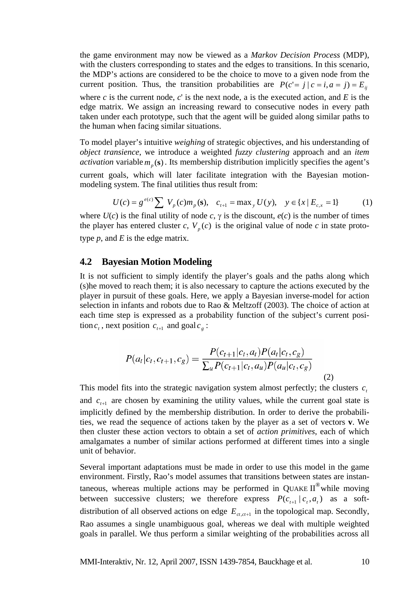the game environment may now be viewed as a *Markov Decision Process* (MDP), with the clusters corresponding to states and the edges to transitions. In this scenario, the MDP's actions are considered to be the choice to move to a given node from the current position. Thus, the transition probabilities are  $P(c = j | c = i, a = j) = E_{ii}$ where *c* is the current node, *c*' is the next node, a is the executed action, and *E* is the edge matrix. We assign an increasing reward to consecutive nodes in every path taken under each prototype, such that the agent will be guided along similar paths to the human when facing similar situations.

To model player's intuitive *weighing* of strategic objectives, and his understanding of *object transience*, we introduce a weighted *fuzzy clustering* approach and an *item activation* variable  $m_p(s)$ . Its membership distribution implicitly specifies the agent's current goals, which will later facilitate integration with the Bayesian motionmodeling system. The final utilities thus result from:

$$
U(c) = g^{e(c)} \sum V_p(c) m_p(\mathbf{s}), \quad c_{t+1} = \max_{y} U(y), \quad y \in \{x \mid E_{c,x} = 1\}
$$
 (1)

where  $U(c)$  is the final utility of node *c*,  $\gamma$  is the discount,  $e(c)$  is the number of times the player has entered cluster *c*,  $V_p(c)$  is the original value of node *c* in state prototype *p*, and *E* is the edge matrix.

#### **4.2 Bayesian Motion Modeling**

It is not sufficient to simply identify the player's goals and the paths along which (s)he moved to reach them; it is also necessary to capture the actions executed by the player in pursuit of these goals. Here, we apply a Bayesian inverse-model for action selection in infants and robots due to Rao & Meltzoff (2003). The choice of action at each time step is expressed as a probability function of the subject's current position  $c_t$ , next position  $c_{t+1}$  and goal  $c_s$ :

$$
P(a_t|c_t, c_{t+1}, c_g) = \frac{P(c_{t+1}|c_t, a_t)P(a_t|c_t, c_g)}{\sum_u P(c_{t+1}|c_t, a_u)P(a_u|c_t, c_g)}
$$
(2)

This model fits into the strategic navigation system almost perfectly; the clusters  $c<sub>t</sub>$ and  $c_{t+1}$  are chosen by examining the utility values, while the current goal state is implicitly defined by the membership distribution. In order to derive the probabilities, we read the sequence of actions taken by the player as a set of vectors **v**. We then cluster these action vectors to obtain a set of *action primitives*, each of which amalgamates a number of similar actions performed at different times into a single unit of behavior.

Several important adaptations must be made in order to use this model in the game environment. Firstly, Rao's model assumes that transitions between states are instantaneous, whereas multiple actions may be performed in QUAKE  $II^{\circledast}$  while moving between successive clusters; we therefore express  $P(c_{t+1} | c_t, a_t)$  as a softdistribution of all observed actions on edge  $E_{ct, ct+1}$  in the topological map. Secondly, Rao assumes a single unambiguous goal, whereas we deal with multiple weighted goals in parallel. We thus perform a similar weighting of the probabilities across all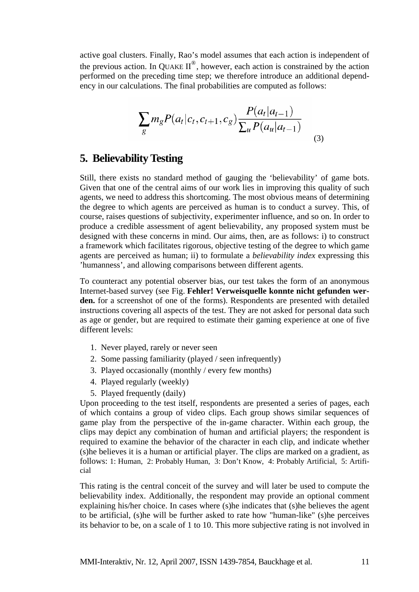active goal clusters. Finally, Rao's model assumes that each action is independent of the previous action. In OUAKE  $II^{\circledR}$ , however, each action is constrained by the action performed on the preceding time step; we therefore introduce an additional dependency in our calculations. The final probabilities are computed as follows:

$$
\sum_{g} m_{g} P(a_{t}|c_{t}, c_{t+1}, c_{g}) \frac{P(a_{t}|a_{t-1})}{\sum_{u} P(a_{u}|a_{t-1})}
$$
\n(3)

## **5. Believability Testing**

Still, there exists no standard method of gauging the 'believability' of game bots. Given that one of the central aims of our work lies in improving this quality of such agents, we need to address this shortcoming. The most obvious means of determining the degree to which agents are perceived as human is to conduct a survey. This, of course, raises questions of subjectivity, experimenter influence, and so on. In order to produce a credible assessment of agent believability, any proposed system must be designed with these concerns in mind. Our aims, then, are as follows: i) to construct a framework which facilitates rigorous, objective testing of the degree to which game agents are perceived as human; ii) to formulate a *believability index* expressing this 'humanness', and allowing comparisons between different agents.

To counteract any potential observer bias, our test takes the form of an anonymous Internet-based survey (see Fig. **[Fehler! Verweisquelle konnte nicht gefunden wer](#page-7-0)[den.](#page-7-0)** for a screenshot of one of the forms). Respondents are presented with detailed instructions covering all aspects of the test. They are not asked for personal data such as age or gender, but are required to estimate their gaming experience at one of five different levels:

- 1. Never played, rarely or never seen
- 2. Some passing familiarity (played / seen infrequently)
- 3. Played occasionally (monthly / every few months)
- 4. Played regularly (weekly)
- 5. Played frequently (daily)

Upon proceeding to the test itself, respondents are presented a series of pages, each of which contains a group of video clips. Each group shows similar sequences of game play from the perspective of the in-game character. Within each group, the clips may depict any combination of human and artificial players; the respondent is required to examine the behavior of the character in each clip, and indicate whether (s)he believes it is a human or artificial player. The clips are marked on a gradient, as follows: 1: Human, 2: Probably Human, 3: Don't Know, 4: Probably Artificial, 5: Artificial

This rating is the central conceit of the survey and will later be used to compute the believability index. Additionally, the respondent may provide an optional comment explaining his/her choice. In cases where (s)he indicates that (s)he believes the agent to be artificial, (s)he will be further asked to rate how "human-like" (s)he perceives its behavior to be, on a scale of 1 to 10. This more subjective rating is not involved in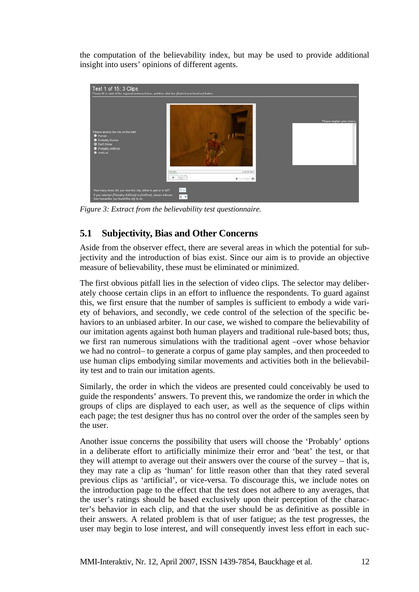the computation of the believability index, but may be used to provide additional insight into users' opinions of different agents.



*Figure 3: Extract from the believability test questionnaire.* 

## **5.1 Subjectivity, Bias and Other Concerns**

Aside from the observer effect, there are several areas in which the potential for subjectivity and the introduction of bias exist. Since our aim is to provide an objective measure of believability, these must be eliminated or minimized.

The first obvious pitfall lies in the selection of video clips. The selector may deliberately choose certain clips in an effort to influence the respondents. To guard against this, we first ensure that the number of samples is sufficient to embody a wide variety of behaviors, and secondly, we cede control of the selection of the specific behaviors to an unbiased arbiter. In our case, we wished to compare the believability of our imitation agents against both human players and traditional rule-based bots; thus, we first ran numerous simulations with the traditional agent –over whose behavior we had no control– to generate a corpus of game play samples, and then proceeded to use human clips embodying similar movements and activities both in the believability test and to train our imitation agents.

Similarly, the order in which the videos are presented could conceivably be used to guide the respondents' answers. To prevent this, we randomize the order in which the groups of clips are displayed to each user, as well as the sequence of clips within each page; the test designer thus has no control over the order of the samples seen by the user.

Another issue concerns the possibility that users will choose the 'Probably' options in a deliberate effort to artificially minimize their error and 'beat' the test, or that they will attempt to average out their answers over the course of the survey – that is, they may rate a clip as 'human' for little reason other than that they rated several previous clips as 'artificial', or vice-versa. To discourage this, we include notes on the introduction page to the effect that the test does not adhere to any averages, that the user's ratings should be based exclusively upon their perception of the character's behavior in each clip, and that the user should be as definitive as possible in their answers. A related problem is that of user fatigue; as the test progresses, the user may begin to lose interest, and will consequently invest less effort in each suc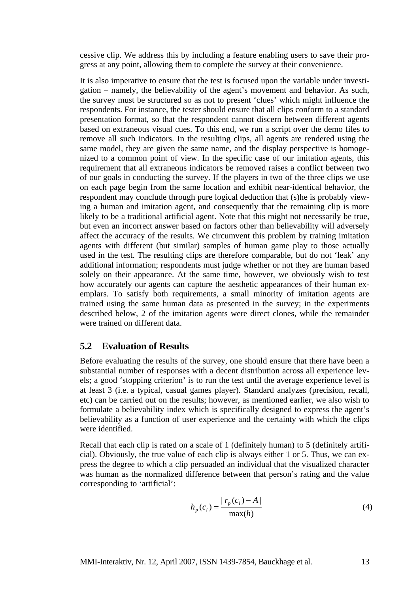cessive clip. We address this by including a feature enabling users to save their progress at any point, allowing them to complete the survey at their convenience.

It is also imperative to ensure that the test is focused upon the variable under investigation – namely, the believability of the agent's movement and behavior. As such, the survey must be structured so as not to present 'clues' which might influence the respondents. For instance, the tester should ensure that all clips conform to a standard presentation format, so that the respondent cannot discern between different agents based on extraneous visual cues. To this end, we run a script over the demo files to remove all such indicators. In the resulting clips, all agents are rendered using the same model, they are given the same name, and the display perspective is homogenized to a common point of view. In the specific case of our imitation agents, this requirement that all extraneous indicators be removed raises a conflict between two of our goals in conducting the survey. If the players in two of the three clips we use on each page begin from the same location and exhibit near-identical behavior, the respondent may conclude through pure logical deduction that (s)he is probably viewing a human and imitation agent, and consequently that the remaining clip is more likely to be a traditional artificial agent. Note that this might not necessarily be true, but even an incorrect answer based on factors other than believability will adversely affect the accuracy of the results. We circumvent this problem by training imitation agents with different (but similar) samples of human game play to those actually used in the test. The resulting clips are therefore comparable, but do not 'leak' any additional information; respondents must judge whether or not they are human based solely on their appearance. At the same time, however, we obviously wish to test how accurately our agents can capture the aesthetic appearances of their human exemplars. To satisfy both requirements, a small minority of imitation agents are trained using the same human data as presented in the survey; in the experiments described below, 2 of the imitation agents were direct clones, while the remainder were trained on different data.

#### **5.2 Evaluation of Results**

Before evaluating the results of the survey, one should ensure that there have been a substantial number of responses with a decent distribution across all experience levels; a good 'stopping criterion' is to run the test until the average experience level is at least 3 (i.e. a typical, casual games player). Standard analyzes (precision, recall, etc) can be carried out on the results; however, as mentioned earlier, we also wish to formulate a believability index which is specifically designed to express the agent's believability as a function of user experience and the certainty with which the clips were identified.

Recall that each clip is rated on a scale of 1 (definitely human) to 5 (definitely artificial). Obviously, the true value of each clip is always either 1 or 5. Thus, we can express the degree to which a clip persuaded an individual that the visualized character was human as the normalized difference between that person's rating and the value corresponding to 'artificial':

$$
h_p(c_i) = \frac{|r_p(c_i) - A|}{\max(h)}
$$
 (4)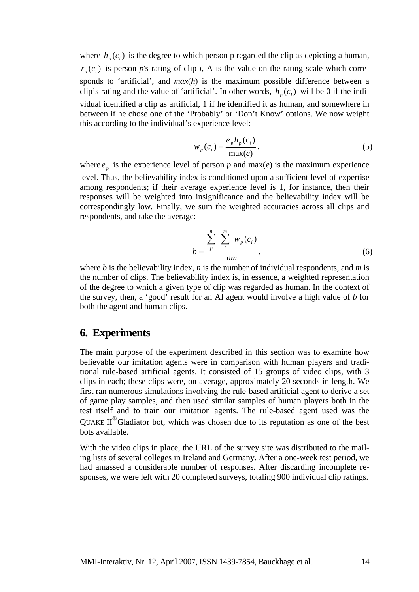where  $h_p(c_i)$  is the degree to which person p regarded the clip as depicting a human,  $r_p(c_i)$  is person *p*'*s* rating of clip *i*, A is the value on the rating scale which corresponds to 'artificial', and *max*(*h*) is the maximum possible difference between a clip's rating and the value of 'artificial'. In other words,  $h_p(c_i)$  will be 0 if the individual identified a clip as artificial, 1 if he identified it as human, and somewhere in between if he chose one of the 'Probably' or 'Don't Know' options. We now weight this according to the individual's experience level:

$$
w_p(c_i) = \frac{e_p h_p(c_i)}{\max(e)},
$$
\n(5)

where  $e_p$  is the experience level of person *p* and max(*e*) is the maximum experience level. Thus, the believability index is conditioned upon a sufficient level of expertise among respondents; if their average experience level is 1, for instance, then their responses will be weighted into insignificance and the believability index will be correspondingly low. Finally, we sum the weighted accuracies across all clips and respondents, and take the average:

$$
b = \frac{\sum_{p}^{n} \sum_{i}^{m} w_p(c_i)}{nm},
$$
\n(6)

where *b* is the believability index, *n* is the number of individual respondents, and *m* is the number of clips. The believability index is, in essence, a weighted representation of the degree to which a given type of clip was regarded as human. In the context of the survey, then, a 'good' result for an AI agent would involve a high value of *b* for both the agent and human clips.

#### **6. Experiments**

The main purpose of the experiment described in this section was to examine how believable our imitation agents were in comparison with human players and traditional rule-based artificial agents. It consisted of 15 groups of video clips, with 3 clips in each; these clips were, on average, approximately 20 seconds in length. We first ran numerous simulations involving the rule-based artificial agent to derive a set of game play samples, and then used similar samples of human players both in the test itself and to train our imitation agents. The rule-based agent used was the OUAKE  $II^{\circledast}$  Gladiator bot, which was chosen due to its reputation as one of the best bots available.

With the video clips in place, the URL of the survey site was distributed to the mailing lists of several colleges in Ireland and Germany. After a one-week test period, we had amassed a considerable number of responses. After discarding incomplete responses, we were left with 20 completed surveys, totaling 900 individual clip ratings.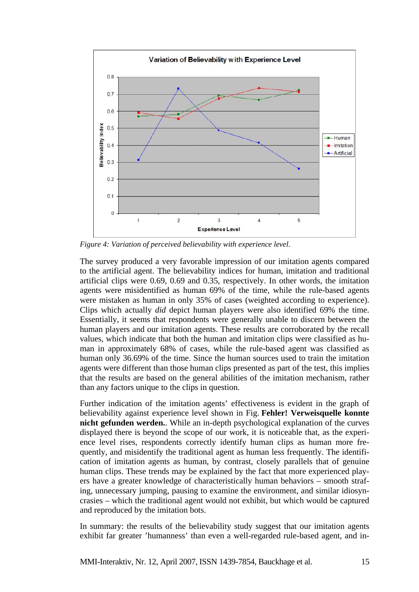

*Figure 4: Variation of perceived believability with experience level.* 

The survey produced a very favorable impression of our imitation agents compared to the artificial agent. The believability indices for human, imitation and traditional artificial clips were 0.69, 0.69 and 0.35, respectively. In other words, the imitation agents were misidentified as human 69% of the time, while the rule-based agents were mistaken as human in only 35% of cases (weighted according to experience). Clips which actually *did* depict human players were also identified 69% the time. Essentially, it seems that respondents were generally unable to discern between the human players and our imitation agents. These results are corroborated by the recall values, which indicate that both the human and imitation clips were classified as human in approximately 68% of cases, while the rule-based agent was classified as human only 36.69% of the time. Since the human sources used to train the imitation agents were different than those human clips presented as part of the test, this implies that the results are based on the general abilities of the imitation mechanism, rather than any factors unique to the clips in question.

Further indication of the imitation agents' effectiveness is evident in the graph of believability against experience level shown in Fig. **[Fehler! Verweisquelle konnte](#page-7-0)  [nicht gefunden werden.](#page-7-0)**. While an in-depth psychological explanation of the curves displayed there is beyond the scope of our work, it is noticeable that, as the experience level rises, respondents correctly identify human clips as human more frequently, and misidentify the traditional agent as human less frequently. The identification of imitation agents as human, by contrast, closely parallels that of genuine human clips. These trends may be explained by the fact that more experienced players have a greater knowledge of characteristically human behaviors – smooth strafing, unnecessary jumping, pausing to examine the environment, and similar idiosyncrasies – which the traditional agent would not exhibit, but which would be captured and reproduced by the imitation bots.

In summary: the results of the believability study suggest that our imitation agents exhibit far greater 'humanness' than even a well-regarded rule-based agent, and in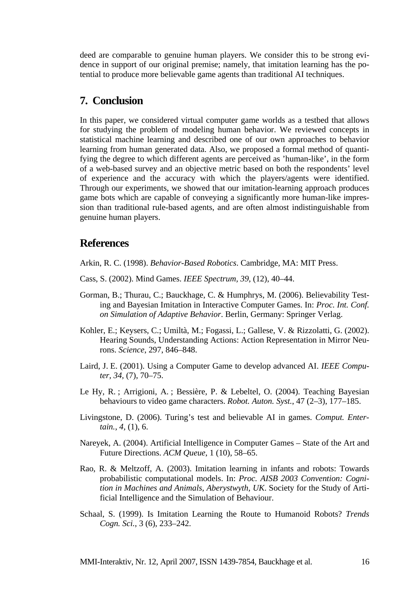deed are comparable to genuine human players. We consider this to be strong evidence in support of our original premise; namely, that imitation learning has the potential to produce more believable game agents than traditional AI techniques.

## **7. Conclusion**

In this paper, we considered virtual computer game worlds as a testbed that allows for studying the problem of modeling human behavior. We reviewed concepts in statistical machine learning and described one of our own approaches to behavior learning from human generated data. Also, we proposed a formal method of quantifying the degree to which different agents are perceived as 'human-like', in the form of a web-based survey and an objective metric based on both the respondents' level of experience and the accuracy with which the players/agents were identified. Through our experiments, we showed that our imitation-learning approach produces game bots which are capable of conveying a significantly more human-like impression than traditional rule-based agents, and are often almost indistinguishable from genuine human players.

# **References**

Arkin, R. C. (1998). *Behavior-Based Robotics*. Cambridge, MA: MIT Press.

- Cass, S. (2002). Mind Games. *IEEE Spectrum, 39,* (12), 40–44.
- Gorman, B.; Thurau, C.; Bauckhage, C. & Humphrys, M. (2006). Believability Testing and Bayesian Imitation in Interactive Computer Games. In: *Proc. Int. Conf. on Simulation of Adaptive Behavior*. Berlin, Germany: Springer Verlag.
- Kohler, E.; Keysers, C.; Umiltà, M.; Fogassi, L.; Gallese, V. & Rizzolatti, G. (2002). Hearing Sounds, Understanding Actions: Action Representation in Mirror Neurons. *Science*, 297, 846–848.
- Laird, J. E. (2001). Using a Computer Game to develop advanced AI. *IEEE Computer, 34,* (7), 70–75.
- Le Hy, R. ; Arrigioni, A. ; Bessière, P. & Lebeltel, O. (2004). Teaching Bayesian behaviours to video game characters. *Robot. Auton. Syst.*, 47 (2–3), 177–185.
- Livingstone, D. (2006). Turing's test and believable AI in games. *Comput. Entertain.*, *4,* (1), 6.
- Nareyek, A. (2004). Artificial Intelligence in Computer Games State of the Art and Future Directions. *ACM Queue*, 1 (10), 58–65.
- Rao, R. & Meltzoff, A. (2003). Imitation learning in infants and robots: Towards probabilistic computational models. In: *Proc. AISB 2003 Convention: Cognition in Machines and Animals, Aberystwyth, UK*. Society for the Study of Artificial Intelligence and the Simulation of Behaviour.
- Schaal, S. (1999). Is Imitation Learning the Route to Humanoid Robots? *Trends Cogn. Sci.*, 3 (6), 233–242.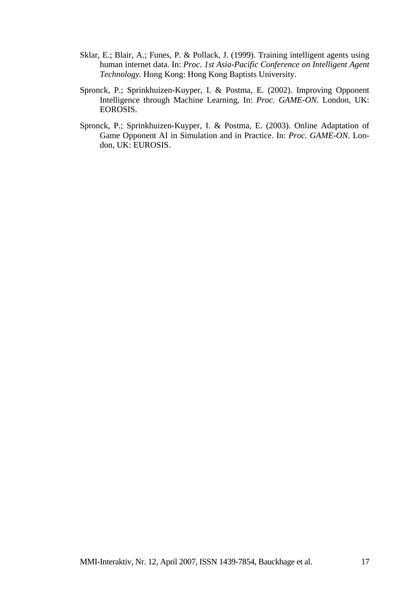- Sklar, E.; Blair, A.; Funes, P. & Pollack, J. (1999). Training intelligent agents using human internet data. In: *Proc. 1st Asia-Pacific Conference on Intelligent Agent Technology.* Hong Kong: Hong Kong Baptists University.
- Spronck, P.; Sprinkhuizen-Kuyper, I. & Postma, E. (2002). Improving Opponent Intelligence through Machine Learning, In: *Proc. GAME-ON*. London, UK: EOROSIS.
- Spronck, P.; Sprinkhuizen-Kuyper, I. & Postma, E. (2003). Online Adaptation of Game Opponent AI in Simulation and in Practice. In: *Proc. GAME-ON*. London, UK: EUROSIS.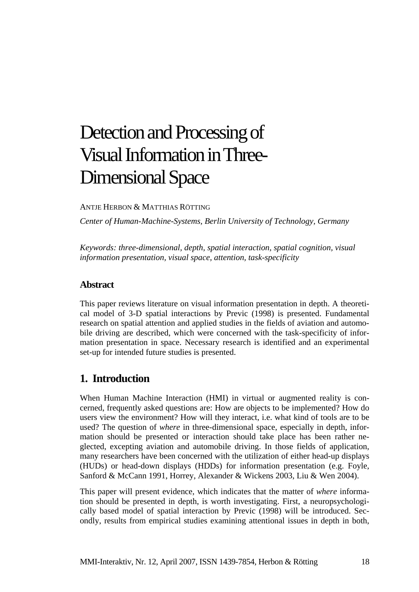# <span id="page-21-0"></span>Detection and Processing of Visual Information in Three-Dimensional Space

#### ANTJE HERBON & MATTHIAS RÖTTING

*Center of Human-Machine-Systems, Berlin University of Technology, Germany* 

*Keywords: three-dimensional, depth, spatial interaction, spatial cognition, visual information presentation, visual space, attention, task-specificity* 

#### **Abstract**

This paper reviews literature on visual information presentation in depth. A theoretical model of 3-D spatial interactions by Previc (1998) is presented. Fundamental research on spatial attention and applied studies in the fields of aviation and automobile driving are described, which were concerned with the task-specificity of information presentation in space. Necessary research is identified and an experimental set-up for intended future studies is presented.

## **1. Introduction**

When Human Machine Interaction (HMI) in virtual or augmented reality is concerned, frequently asked questions are: How are objects to be implemented? How do users view the environment? How will they interact, i.e. what kind of tools are to be used? The question of *where* in three-dimensional space, especially in depth, information should be presented or interaction should take place has been rather neglected, excepting aviation and automobile driving. In those fields of application, many researchers have been concerned with the utilization of either head-up displays (HUDs) or head-down displays (HDDs) for information presentation (e.g. Foyle, Sanford & McCann 1991, Horrey, Alexander & Wickens 2003, Liu & Wen 2004).

This paper will present evidence, which indicates that the matter of *where* information should be presented in depth, is worth investigating. First, a neuropsychologically based model of spatial interaction by Previc (1998) will be introduced. Secondly, results from empirical studies examining attentional issues in depth in both,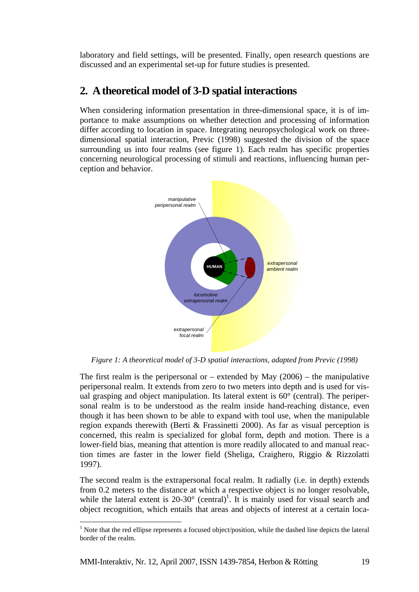laboratory and field settings, will be presented. Finally, open research questions are discussed and an experimental set-up for future studies is presented.

# **2. A theoretical model of 3-D spatial interactions**

When considering information presentation in three-dimensional space, it is of importance to make assumptions on whether detection and processing of information differ according to location in space. Integrating neuropsychological work on threedimensional spatial interaction, Previc (1998) suggested the division of the space surrounding us into four realms (see figure 1). Each realm has specific properties concerning neurological processing of stimuli and reactions, influencing human perception and behavior.



*Figure 1: A theoretical model of 3-D spatial interactions, adapted from Previc (1998)* 

The first realm is the peripersonal or – extended by May  $(2006)$  – the manipulative peripersonal realm. It extends from zero to two meters into depth and is used for visual grasping and object manipulation. Its lateral extent is 60° (central). The peripersonal realm is to be understood as the realm inside hand-reaching distance, even though it has been shown to be able to expand with tool use, when the manipulable region expands therewith (Berti & Frassinetti 2000). As far as visual perception is concerned, this realm is specialized for global form, depth and motion. There is a lower-field bias, meaning that attention is more readily allocated to and manual reaction times are faster in the lower field (Sheliga, Craighero, Riggio & Rizzolatti 1997).

The second realm is the extrapersonal focal realm. It radially (i.e. in depth) extends from 0.2 meters to the distance at which a respective object is no longer resolvable, while the lateral extent is  $20-30^\circ$  (central)<sup>1</sup>[.](#page-22-0) It is mainly used for visual search and object recognition, which entails that areas and objects of interest at a certain loca-

<span id="page-22-0"></span> $\overline{a}$ <sup>1</sup> Note that the red ellipse represents a focused object/position, while the dashed line depicts the lateral border of the realm.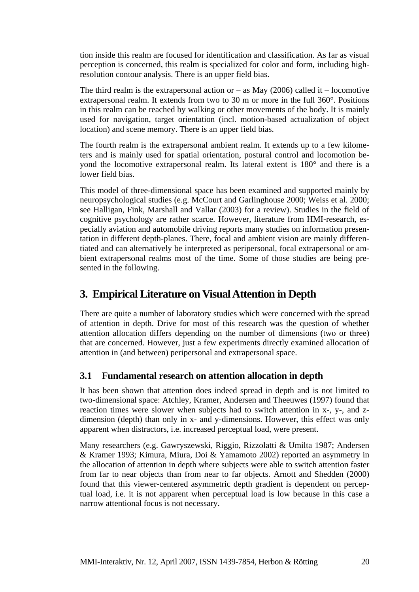tion inside this realm are focused for identification and classification. As far as visual perception is concerned, this realm is specialized for color and form, including highresolution contour analysis. There is an upper field bias.

The third realm is the extrapersonal action or  $-$  as May (2006) called it  $-$  locomotive extrapersonal realm. It extends from two to 30 m or more in the full 360°. Positions in this realm can be reached by walking or other movements of the body. It is mainly used for navigation, target orientation (incl. motion-based actualization of object location) and scene memory. There is an upper field bias.

The fourth realm is the extrapersonal ambient realm. It extends up to a few kilometers and is mainly used for spatial orientation, postural control and locomotion beyond the locomotive extrapersonal realm. Its lateral extent is 180° and there is a lower field bias.

This model of three-dimensional space has been examined and supported mainly by neuropsychological studies (e.g. McCourt and Garlinghouse 2000; Weiss et al. 2000; see Halligan, Fink, Marshall and Vallar (2003) for a review). Studies in the field of cognitive psychology are rather scarce. However, literature from HMI-research, especially aviation and automobile driving reports many studies on information presentation in different depth-planes. There, focal and ambient vision are mainly differentiated and can alternatively be interpreted as peripersonal, focal extrapersonal or ambient extrapersonal realms most of the time. Some of those studies are being presented in the following.

# **3. Empirical Literature on VisualAttention in Depth**

There are quite a number of laboratory studies which were concerned with the spread of attention in depth. Drive for most of this research was the question of whether attention allocation differs depending on the number of dimensions (two or three) that are concerned. However, just a few experiments directly examined allocation of attention in (and between) peripersonal and extrapersonal space.

## **3.1 Fundamental research on attention allocation in depth**

It has been shown that attention does indeed spread in depth and is not limited to two-dimensional space: Atchley, Kramer, Andersen and Theeuwes (1997) found that reaction times were slower when subjects had to switch attention in x-, y-, and zdimension (depth) than only in x- and y-dimensions. However, this effect was only apparent when distractors, i.e. increased perceptual load, were present.

Many researchers (e.g. Gawryszewski, Riggio, Rizzolatti & Umilta 1987; Andersen & Kramer 1993; Kimura, Miura, Doi & Yamamoto 2002) reported an asymmetry in the allocation of attention in depth where subjects were able to switch attention faster from far to near objects than from near to far objects. Arnott and Shedden (2000) found that this viewer-centered asymmetric depth gradient is dependent on perceptual load, i.e. it is not apparent when perceptual load is low because in this case a narrow attentional focus is not necessary.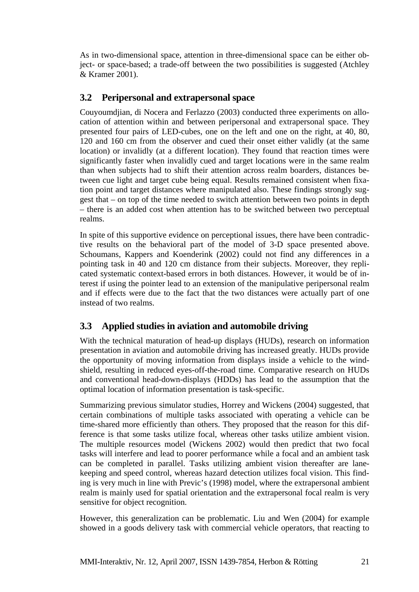As in two-dimensional space, attention in three-dimensional space can be either object- or space-based; a trade-off between the two possibilities is suggested (Atchley & Kramer 2001).

## **3.2 Peripersonal and extrapersonal space**

Couyoumdjian, di Nocera and Ferlazzo (2003) conducted three experiments on allocation of attention within and between peripersonal and extrapersonal space. They presented four pairs of LED-cubes, one on the left and one on the right, at 40, 80, 120 and 160 cm from the observer and cued their onset either validly (at the same location) or invalidly (at a different location). They found that reaction times were significantly faster when invalidly cued and target locations were in the same realm than when subjects had to shift their attention across realm boarders, distances between cue light and target cube being equal. Results remained consistent when fixation point and target distances where manipulated also. These findings strongly suggest that – on top of the time needed to switch attention between two points in depth – there is an added cost when attention has to be switched between two perceptual realms.

In spite of this supportive evidence on perceptional issues, there have been contradictive results on the behavioral part of the model of 3-D space presented above. Schoumans, Kappers and Koenderink (2002) could not find any differences in a pointing task in 40 and 120 cm distance from their subjects. Moreover, they replicated systematic context-based errors in both distances. However, it would be of interest if using the pointer lead to an extension of the manipulative peripersonal realm and if effects were due to the fact that the two distances were actually part of one instead of two realms.

## **3.3 Applied studies in aviation and automobile driving**

With the technical maturation of head-up displays (HUDs), research on information presentation in aviation and automobile driving has increased greatly. HUDs provide the opportunity of moving information from displays inside a vehicle to the windshield, resulting in reduced eyes-off-the-road time. Comparative research on HUDs and conventional head-down-displays (HDDs) has lead to the assumption that the optimal location of information presentation is task-specific.

Summarizing previous simulator studies, Horrey and Wickens (2004) suggested, that certain combinations of multiple tasks associated with operating a vehicle can be time-shared more efficiently than others. They proposed that the reason for this difference is that some tasks utilize focal, whereas other tasks utilize ambient vision. The multiple resources model (Wickens 2002) would then predict that two focal tasks will interfere and lead to poorer performance while a focal and an ambient task can be completed in parallel. Tasks utilizing ambient vision thereafter are lanekeeping and speed control, whereas hazard detection utilizes focal vision. This finding is very much in line with Previc's (1998) model, where the extrapersonal ambient realm is mainly used for spatial orientation and the extrapersonal focal realm is very sensitive for object recognition.

However, this generalization can be problematic. Liu and Wen (2004) for example showed in a goods delivery task with commercial vehicle operators, that reacting to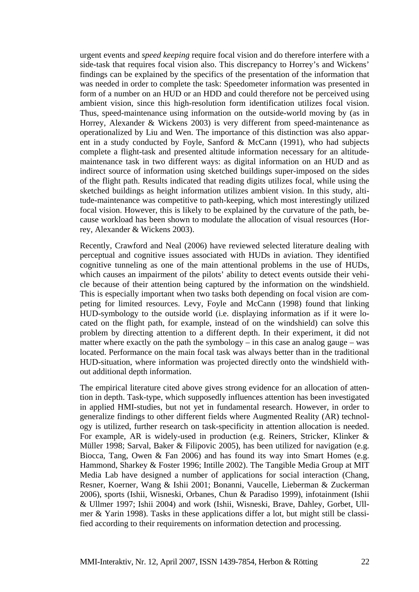urgent events and *speed keeping* require focal vision and do therefore interfere with a side-task that requires focal vision also. This discrepancy to Horrey's and Wickens' findings can be explained by the specifics of the presentation of the information that was needed in order to complete the task: Speedometer information was presented in form of a number on an HUD or an HDD and could therefore not be perceived using ambient vision, since this high-resolution form identification utilizes focal vision. Thus, speed-maintenance using information on the outside-world moving by (as in Horrey, Alexander & Wickens 2003) is very different from speed-maintenance as operationalized by Liu and Wen. The importance of this distinction was also apparent in a study conducted by Foyle, Sanford & McCann (1991), who had subjects complete a flight-task and presented altitude information necessary for an altitudemaintenance task in two different ways: as digital information on an HUD and as indirect source of information using sketched buildings super-imposed on the sides of the flight path. Results indicated that reading digits utilizes focal, while using the sketched buildings as height information utilizes ambient vision. In this study, altitude-maintenance was competitive to path-keeping, which most interestingly utilized focal vision. However, this is likely to be explained by the curvature of the path, because workload has been shown to modulate the allocation of visual resources (Horrey, Alexander & Wickens 2003).

Recently, Crawford and Neal (2006) have reviewed selected literature dealing with perceptual and cognitive issues associated with HUDs in aviation. They identified cognitive tunneling as one of the main attentional problems in the use of HUDs, which causes an impairment of the pilots' ability to detect events outside their vehicle because of their attention being captured by the information on the windshield. This is especially important when two tasks both depending on focal vision are competing for limited resources. Levy, Foyle and McCann (1998) found that linking HUD-symbology to the outside world (i.e. displaying information as if it were located on the flight path, for example, instead of on the windshield) can solve this problem by directing attention to a different depth. In their experiment, it did not matter where exactly on the path the symbology – in this case an analog gauge – was located. Performance on the main focal task was always better than in the traditional HUD-situation, where information was projected directly onto the windshield without additional depth information.

The empirical literature cited above gives strong evidence for an allocation of attention in depth. Task-type, which supposedly influences attention has been investigated in applied HMI-studies, but not yet in fundamental research. However, in order to generalize findings to other different fields where Augmented Reality (AR) technology is utilized, further research on task-specificity in attention allocation is needed. For example, AR is widely-used in production (e.g. Reiners, Stricker, Klinker & Müller 1998; Sarval, Baker & Filipovic 2005), has been utilized for navigation (e.g. Biocca, Tang, Owen & Fan 2006) and has found its way into Smart Homes (e.g. Hammond, Sharkey & Foster 1996; Intille 2002). The Tangible Media Group at MIT Media Lab have designed a number of applications for social interaction (Chang, Resner, Koerner, Wang & Ishii 2001; Bonanni, Vaucelle, Lieberman & Zuckerman 2006), sports (Ishii, Wisneski, Orbanes, Chun & Paradiso 1999), infotainment (Ishii & Ullmer 1997; Ishii 2004) and work (Ishii, Wisneski, Brave, Dahley, Gorbet, Ullmer & Yarin 1998). Tasks in these applications differ a lot, but might still be classified according to their requirements on information detection and processing.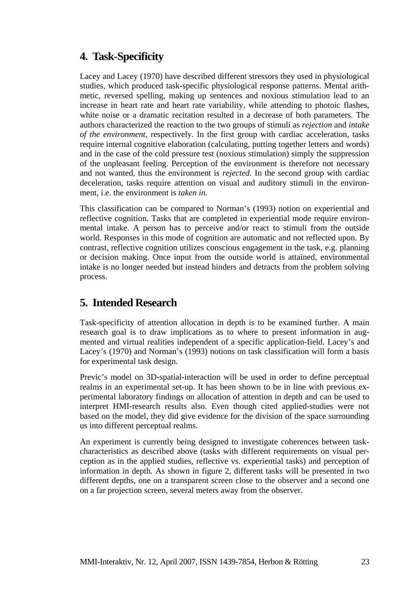# **4. Task-Specificity**

Lacey and Lacey (1970) have described different stressors they used in physiological studies, which produced task-specific physiological response patterns. Mental arithmetic, reversed spelling, making up sentences and noxious stimulation lead to an increase in heart rate and heart rate variability, while attending to photoic flashes, white noise or a dramatic recitation resulted in a decrease of both parameters. The authors characterized the reaction to the two groups of stimuli as *rejection* and *intake of the environment*, respectively. In the first group with cardiac acceleration, tasks require internal cognitive elaboration (calculating, putting together letters and words) and in the case of the cold pressure test (noxious stimulation) simply the suppression of the unpleasant feeling. Perception of the environment is therefore not necessary and not wanted, thus the environment is *rejected*. In the second group with cardiac deceleration, tasks require attention on visual and auditory stimuli in the environment, i.e. the environment is *taken in*.

This classification can be compared to Norman's (1993) notion on experiential and reflective cognition. Tasks that are completed in experiential mode require environmental intake. A person has to perceive and/or react to stimuli from the outside world. Responses in this mode of cognition are automatic and not reflected upon. By contrast, reflective cognition utilizes conscious engagement in the task, e.g. planning or decision making. Once input from the outside world is attained, environmental intake is no longer needed but instead hinders and detracts from the problem solving process.

# **5. Intended Research**

Task-specificity of attention allocation in depth is to be examined further. A main research goal is to draw implications as to where to present information in augmented and virtual realities independent of a specific application-field. Lacey's and Lacey's (1970) and Norman's (1993) notions on task classification will form a basis for experimental task design.

Previc's model on 3D-spatial-interaction will be used in order to define perceptual realms in an experimental set-up. It has been shown to be in line with previous experimental laboratory findings on allocation of attention in depth and can be used to interpret HMI-research results also. Even though cited applied-studies were not based on the model, they did give evidence for the division of the space surrounding us into different perceptual realms.

An experiment is currently being designed to investigate coherences between taskcharacteristics as described above (tasks with different requirements on visual perception as in the applied studies, reflective vs. experiential tasks) and perception of information in depth. As shown in figure 2, different tasks will be presented in two different depths, one on a transparent screen close to the observer and a second one on a far projection screen, several meters away from the observer.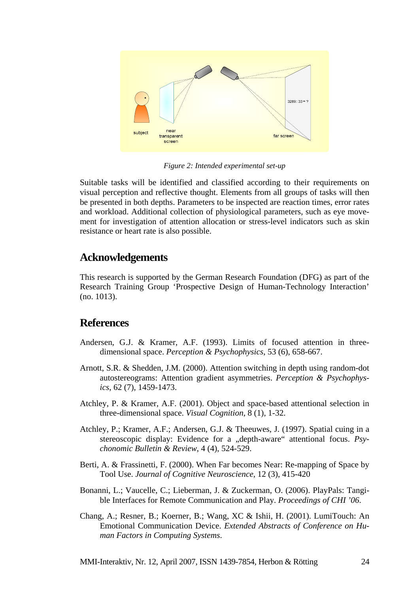

*Figure 2: Intended experimental set-up* 

Suitable tasks will be identified and classified according to their requirements on visual perception and reflective thought. Elements from all groups of tasks will then be presented in both depths. Parameters to be inspected are reaction times, error rates and workload. Additional collection of physiological parameters, such as eye movement for investigation of attention allocation or stress-level indicators such as skin resistance or heart rate is also possible.

# **Acknowledgements**

This research is supported by the German Research Foundation (DFG) as part of the Research Training Group 'Prospective Design of Human-Technology Interaction' (no. 1013).

# **References**

- Andersen, G.J. & Kramer, A.F. (1993). Limits of focused attention in threedimensional space. *Perception & Psychophysics*, 53 (6), 658-667.
- Arnott, S.R. & Shedden, J.M. (2000). Attention switching in depth using random-dot autostereograms: Attention gradient asymmetries. *Perception & Psychophysics*, 62 (7), 1459-1473.
- Atchley, P. & Kramer, A.F. (2001). Object and space-based attentional selection in three-dimensional space. *Visual Cognition*, 8 (1), 1-32.
- Atchley, P.; Kramer, A.F.; Andersen, G.J. & Theeuwes, J. (1997). Spatial cuing in a stereoscopic display: Evidence for a "depth-aware" attentional focus. Psy*chonomic Bulletin & Review*, 4 (4), 524-529.
- Berti, A. & Frassinetti, F. (2000). When Far becomes Near: Re-mapping of Space by Tool Use. *Journal of Cognitive Neuroscience,* 12 (3), 415-420
- Bonanni, L.; Vaucelle, C.; Lieberman, J. & Zuckerman, O. (2006). PlayPals: Tangible Interfaces for Remote Communication and Play. *Proceedings of CHI '06*.
- Chang, A.; Resner, B.; Koerner, B.; Wang, XC & Ishii, H. (2001). LumiTouch: An Emotional Communication Device. *Extended Abstracts of Conference on Human Factors in Computing Systems*.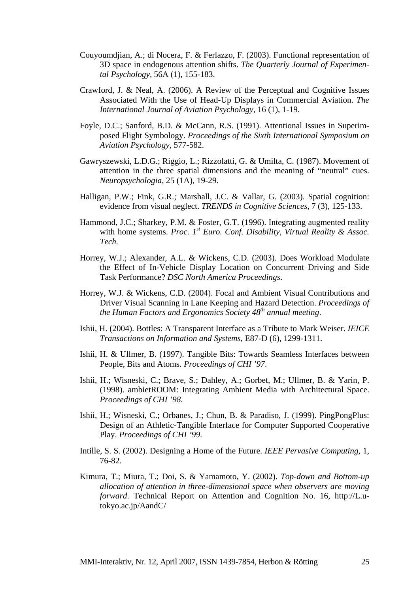- Couyoumdjian, A.; di Nocera, F. & Ferlazzo, F. (2003). Functional representation of 3D space in endogenous attention shifts. *The Quarterly Journal of Experimental Psychology,* 56A (1), 155-183.
- Crawford, J. & Neal, A. (2006). A Review of the Perceptual and Cognitive Issues Associated With the Use of Head-Up Displays in Commercial Aviation. *The International Journal of Aviation Psychology*, 16 (1), 1-19.
- Foyle, D.C.; Sanford, B.D. & McCann, R.S. (1991). Attentional Issues in Superimposed Flight Symbology. *Proceedings of the Sixth International Symposium on Aviation Psychology*, 577-582.
- Gawryszewski, L.D.G.; Riggio, L.; Rizzolatti, G. & Umilta, C. (1987). Movement of attention in the three spatial dimensions and the meaning of "neutral" cues. *Neuropsychologia*, 25 (1A), 19-29.
- Halligan, P.W.; Fink, G.R.; Marshall, J.C. & Vallar, G. (2003). Spatial cognition: evidence from visual neglect. *TRENDS in Cognitive Sciences*, 7 (3), 125-133.
- Hammond, J.C.; Sharkey, P.M. & Foster, G.T. (1996). Integrating augmented reality with home systems. *Proc.* 1<sup>st</sup> Euro. Conf. Disability, Virtual Reality & Assoc. *Tech.*
- Horrey, W.J.; Alexander, A.L. & Wickens, C.D. (2003). Does Workload Modulate the Effect of In-Vehicle Display Location on Concurrent Driving and Side Task Performance? *DSC North America Proceedings*.
- Horrey, W.J. & Wickens, C.D. (2004). Focal and Ambient Visual Contributions and Driver Visual Scanning in Lane Keeping and Hazard Detection. *Proceedings of the Human Factors and Ergonomics Society 48th annual meeting*.
- Ishii, H. (2004). Bottles: A Transparent Interface as a Tribute to Mark Weiser. *IEICE Transactions on Information and Systems*, E87-D (6), 1299-1311.
- Ishii, H. & Ullmer, B. (1997). Tangible Bits: Towards Seamless Interfaces between People, Bits and Atoms. *Proceedings of CHI '97*.
- Ishii, H.; Wisneski, C.; Brave, S.; Dahley, A.; Gorbet, M.; Ullmer, B. & Yarin, P. (1998). ambietROOM: Integrating Ambient Media with Architectural Space. *Proceedings of CHI '98*.
- Ishii, H.; Wisneski, C.; Orbanes, J.; Chun, B. & Paradiso, J. (1999). PingPongPlus: Design of an Athletic-Tangible Interface for Computer Supported Cooperative Play. *Proceedings of CHI '99*.
- Intille, S. S. (2002). Designing a Home of the Future. *IEEE Pervasive Computing*, 1, 76-82.
- Kimura, T.; Miura, T.; Doi, S. & Yamamoto, Y. (2002). *Top-down and Bottom-up allocation of attention in three-dimensional space when observers are moving forward*. Technical Report on Attention and Cognition No. 16, [http://L.u](http://l.u-tokyo.ac.jp/AandC/)[tokyo.ac.jp/AandC/](http://l.u-tokyo.ac.jp/AandC/)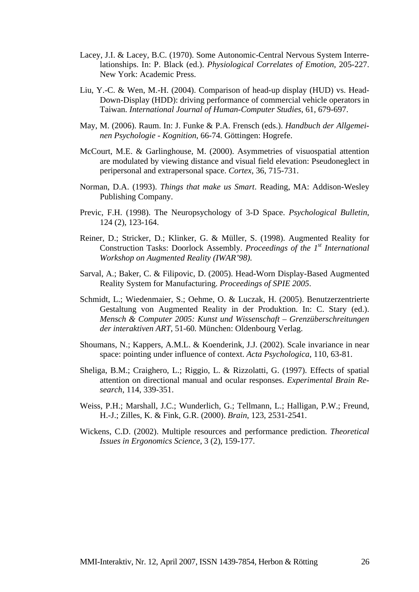- Lacey, J.I. & Lacey, B.C. (1970). Some Autonomic-Central Nervous System Interrelationships. In: P. Black (ed.). *Physiological Correlates of Emotion*, 205-227. New York: Academic Press.
- Liu, Y.-C. & Wen, M.-H. (2004). Comparison of head-up display (HUD) vs. Head-Down-Display (HDD): driving performance of commercial vehicle operators in Taiwan. *International Journal of Human-Computer Studies*, 61, 679-697.
- May, M. (2006). Raum. In: J. Funke & P.A. Frensch (eds.). *Handbuch der Allgemeinen Psychologie - Kognition*, 66-74. Göttingen: Hogrefe.
- McCourt, M.E. & Garlinghouse, M. (2000). Asymmetries of visuospatial attention are modulated by viewing distance and visual field elevation: Pseudoneglect in peripersonal and extrapersonal space. *Cortex*, 36, 715-731.
- Norman, D.A. (1993). *Things that make us Smart*. Reading, MA: Addison-Wesley Publishing Company.
- Previc, F.H. (1998). The Neuropsychology of 3-D Space. *Psychological Bulletin*, 124 (2), 123-164.
- Reiner, D.; Stricker, D.; Klinker, G. & Müller, S. (1998). Augmented Reality for Construction Tasks: Doorlock Assembly. *Proceedings of the 1st International Workshop on Augmented Reality (IWAR'98)*.
- Sarval, A.; Baker, C. & Filipovic, D. (2005). Head-Worn Display-Based Augmented Reality System for Manufacturing. *Proceedings of SPIE 2005*.
- Schmidt, L.; Wiedenmaier, S.; Oehme, O. & Luczak, H. (2005). Benutzerzentrierte Gestaltung von Augmented Reality in der Produktion. In: C. Stary (ed.). *Mensch & Computer 2005: Kunst und Wissenschaft – Grenzüberschreitungen der interaktiven ART*, 51-60*.* München: Oldenbourg Verlag.
- Shoumans, N.; Kappers, A.M.L. & Koenderink, J.J. (2002). Scale invariance in near space: pointing under influence of context. *Acta Psychologica*, 110, 63-81.
- Sheliga, B.M.; Craighero, L.; Riggio, L. & Rizzolatti, G. (1997). Effects of spatial attention on directional manual and ocular responses. *Experimental Brain Research*, 114, 339-351.
- Weiss, P.H.; Marshall, J.C.; Wunderlich, G.; Tellmann, L.; Halligan, P.W.; Freund, H.-J.; Zilles, K. & Fink, G.R. (2000). *Brain*, 123, 2531-2541.
- Wickens, C.D. (2002). Multiple resources and performance prediction. *Theoretical Issues in Ergonomics Science*, 3 (2), 159-177.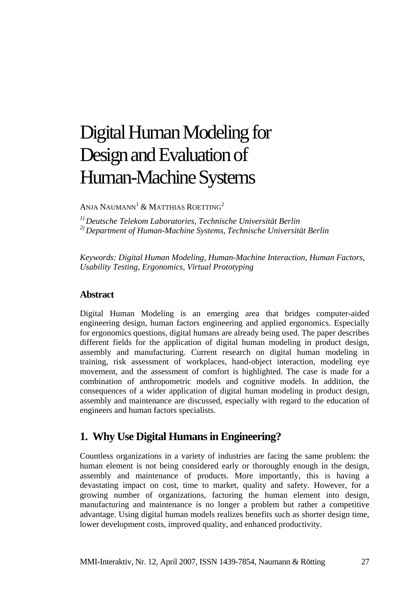# <span id="page-30-0"></span>Digital Human Modeling for Design and Evaluation of Human-Machine Systems

ANJA NAUMANN<sup>1</sup> & MATTHIAS ROETTING<sup>2</sup>

*1) Deutsche Telekom Laboratories, Technische Universität Berlin* 

*2) Department of Human-Machine Systems, Technische Universität Berlin* 

*Keywords: Digital Human Modeling, Human-Machine Interaction, Human Factors, Usability Testing, Ergonomics, Virtual Prototyping* 

#### **Abstract**

Digital Human Modeling is an emerging area that bridges computer-aided engineering design, human factors engineering and applied ergonomics. Especially for ergonomics questions, digital humans are already being used. The paper describes different fields for the application of digital human modeling in product design, assembly and manufacturing. Current research on digital human modeling in training, risk assessment of workplaces, hand-object interaction, modeling eye movement, and the assessment of comfort is highlighted. The case is made for a combination of anthropometric models and cognitive models. In addition, the consequences of a wider application of digital human modeling in product design, assembly and maintenance are discussed, especially with regard to the education of engineers and human factors specialists.

## **1. Why Use Digital Humans in Engineering?**

Countless organizations in a variety of industries are facing the same problem: the human element is not being considered early or thoroughly enough in the design, assembly and maintenance of products. More importantly, this is having a devastating impact on cost, time to market, quality and safety. However, for a growing number of organizations, factoring the human element into design, manufacturing and maintenance is no longer a problem but rather a competitive advantage. Using digital human models realizes benefits such as shorter design time, lower development costs, improved quality, and enhanced productivity.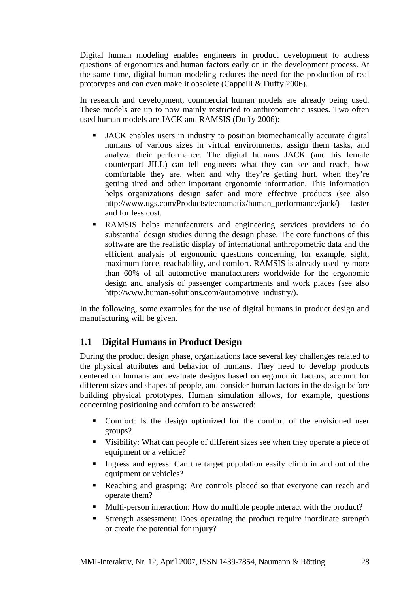Digital human modeling enables engineers in product development to address questions of ergonomics and human factors early on in the development process. At the same time, digital human modeling reduces the need for the production of real prototypes and can even make it obsolete (Cappelli & Duffy 2006).

In research and development, commercial human models are already being used. These models are up to now mainly restricted to anthropometric issues. Two often used human models are JACK and RAMSIS (Duffy 2006):

- JACK enables users in industry to position biomechanically accurate digital humans of various sizes in virtual environments, assign them tasks, and analyze their performance. The digital humans JACK (and his female counterpart JILL) can tell engineers what they can see and reach, how comfortable they are, when and why they're getting hurt, when they're getting tired and other important ergonomic information. This information helps organizations design safer and more effective products (see also [http://www.ugs.com/Products/tecnomatix/human\\_performance/jack/](http://www.ugs.com/Products/tecnomatix/human_performance/jack/)) faster and for less cost.
- RAMSIS helps manufacturers and engineering services providers to do substantial design studies during the design phase. The core functions of this software are the realistic display of international anthropometric data and the efficient analysis of ergonomic questions concerning, for example, sight, maximum force, reachability, and comfort. RAMSIS is already used by more than 60% of all automotive manufacturers worldwide for the ergonomic design and analysis of passenger compartments and work places (see also [http://www.human-solutions.com/automotive\\_industry/\)](http://www.human-solutions.com/automotive_industry/).

In the following, some examples for the use of digital humans in product design and manufacturing will be given.

## **1.1 Digital Humans in Product Design**

During the product design phase, organizations face several key challenges related to the physical attributes and behavior of humans. They need to develop products centered on humans and evaluate designs based on ergonomic factors, account for different sizes and shapes of people, and consider human factors in the design before building physical prototypes. Human simulation allows, for example, questions concerning positioning and comfort to be answered:

- Comfort: Is the design optimized for the comfort of the envisioned user groups?
- Visibility: What can people of different sizes see when they operate a piece of equipment or a vehicle?
- Ingress and egress: Can the target population easily climb in and out of the equipment or vehicles?
- Reaching and grasping: Are controls placed so that everyone can reach and operate them?
- Multi-person interaction: How do multiple people interact with the product?
- Strength assessment: Does operating the product require inordinate strength or create the potential for injury?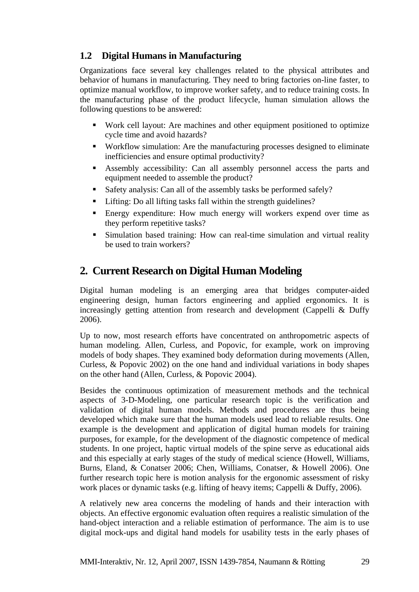## **1.2 Digital Humans in Manufacturing**

Organizations face several key challenges related to the physical attributes and behavior of humans in manufacturing. They need to bring factories on-line faster, to optimize manual workflow, to improve worker safety, and to reduce training costs. In the manufacturing phase of the product lifecycle, human simulation allows the following questions to be answered:

- Work cell layout: Are machines and other equipment positioned to optimize cycle time and avoid hazards?
- Workflow simulation: Are the manufacturing processes designed to eliminate inefficiencies and ensure optimal productivity?
- Assembly accessibility: Can all assembly personnel access the parts and equipment needed to assemble the product?
- Safety analysis: Can all of the assembly tasks be performed safely?
- Lifting: Do all lifting tasks fall within the strength guidelines?
- Energy expenditure: How much energy will workers expend over time as they perform repetitive tasks?
- Simulation based training: How can real-time simulation and virtual reality be used to train workers?

# **2. Current Research on Digital Human Modeling**

Digital human modeling is an emerging area that bridges computer-aided engineering design, human factors engineering and applied ergonomics. It is increasingly getting attention from research and development (Cappelli & Duffy 2006).

Up to now, most research efforts have concentrated on anthropometric aspects of human modeling. Allen, Curless, and Popovic, for example, work on improving models of body shapes. They examined body deformation during movements (Allen, Curless, & Popovic 2002) on the one hand and individual variations in body shapes on the other hand (Allen, Curless, & Popovic 2004).

Besides the continuous optimization of measurement methods and the technical aspects of 3-D-Modeling, one particular research topic is the verification and validation of digital human models. Methods and procedures are thus being developed which make sure that the human models used lead to reliable results. One example is the development and application of digital human models for training purposes, for example, for the development of the diagnostic competence of medical students. In one project, haptic virtual models of the spine serve as educational aids and this especially at early stages of the study of medical science (Howell, Williams, Burns, Eland, & Conatser 2006; Chen, Williams, Conatser, & Howell 2006). One further research topic here is motion analysis for the ergonomic assessment of risky work places or dynamic tasks (e.g. lifting of heavy items; Cappelli & Duffy, 2006).

A relatively new area concerns the modeling of hands and their interaction with objects. An effective ergonomic evaluation often requires a realistic simulation of the hand-object interaction and a reliable estimation of performance. The aim is to use digital mock-ups and digital hand models for usability tests in the early phases of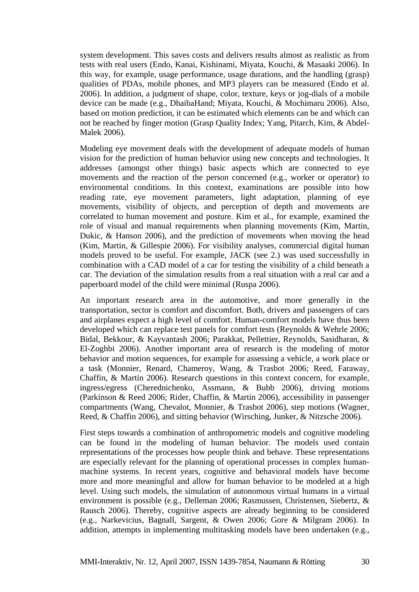system development. This saves costs and delivers results almost as realistic as from tests with real users (Endo, Kanai, Kishinami, Miyata, Kouchi, & Masaaki 2006). In this way, for example, usage performance, usage durations, and the handling (grasp) qualities of PDAs, mobile phones, and MP3 players can be measured (Endo et al. 2006). In addition, a judgment of shape, color, texture, keys or jog-dials of a mobile device can be made (e.g., DhaibaHand; Miyata, Kouchi, & Mochimaru 2006). Also, based on motion prediction, it can be estimated which elements can be and which can not be reached by finger motion (Grasp Quality Index; Yang, Pitarch, Kim, & Abdel-Malek 2006).

Modeling eye movement deals with the development of adequate models of human vision for the prediction of human behavior using new concepts and technologies. It addresses (amongst other things) basic aspects which are connected to eye movements and the reaction of the person concerned (e.g., worker or operator) to environmental conditions. In this context, examinations are possible into how reading rate, eye movement parameters, light adaptation, planning of eye movements, visibility of objects, and perception of depth and movements are correlated to human movement and posture. Kim et al., for example, examined the role of visual and manual requirements when planning movements (Kim, Martin, Dukic, & Hanson 2006), and the prediction of movements when moving the head (Kim, Martin, & Gillespie 2006). For visibility analyses, commercial digital human models proved to be useful. For example, JACK (see 2.) was used successfully in combination with a CAD model of a car for testing the visibility of a child beneath a car. The deviation of the simulation results from a real situation with a real car and a paperboard model of the child were minimal (Ruspa 2006).

An important research area in the automotive, and more generally in the transportation, sector is comfort and discomfort. Both, drivers and passengers of cars and airplanes expect a high level of comfort. Human-comfort models have thus been developed which can replace test panels for comfort tests (Reynolds & Wehrle 2006; Bidal, Bekkour, & Kayvantash 2006; Parakkat, Pellettier, Reynolds, Sasidharan, & El-Zoghbi 2006). Another important area of research is the modeling of motor behavior and motion sequences, for example for assessing a vehicle, a work place or a task (Monnier, Renard, Chameroy, Wang, & Trasbot 2006; Reed, Faraway, Chaffin, & Martin 2006). Research questions in this context concern, for example, ingress/egress (Cherednichenko, Assmann, & Bubb 2006), driving motions (Parkinson & Reed 2006; Rider, Chaffin, & Martin 2006), accessibility in passenger compartments (Wang, Chevalot, Monnier, & Trasbot 2006), step motions (Wagner, Reed, & Chaffin 2006), and sitting behavior (Wirsching, Junker, & Nitzsche 2006).

First steps towards a combination of anthropometric models and cognitive modeling can be found in the modeling of human behavior. The models used contain representations of the processes how people think and behave. These representations are especially relevant for the planning of operational processes in complex humanmachine systems. In recent years, cognitive and behavioral models have become more and more meaningful and allow for human behavior to be modeled at a high level. Using such models, the simulation of autonomous virtual humans in a virtual environment is possible (e.g., Delleman 2006; Rasmussen, Christensen, Siebertz, & Rausch 2006). Thereby, cognitive aspects are already beginning to be considered (e.g., Narkevicius, Bagnall, Sargent, & Owen 2006; Gore & Milgram 2006). In addition, attempts in implementing multitasking models have been undertaken (e.g.,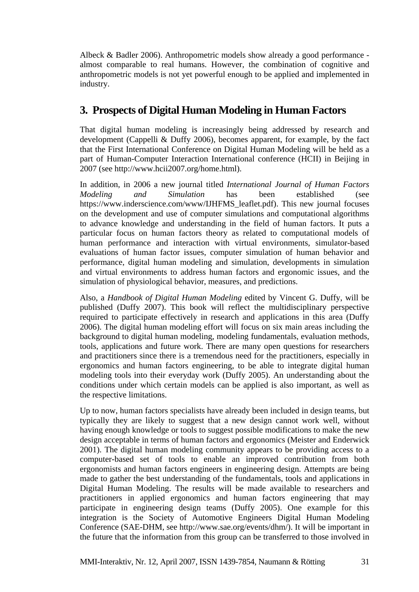Albeck & Badler 2006). Anthropometric models show already a good performance almost comparable to real humans. However, the combination of cognitive and anthropometric models is not yet powerful enough to be applied and implemented in industry.

# **3. Prospects of Digital Human Modeling in Human Factors**

That digital human modeling is increasingly being addressed by research and development (Cappelli & Duffy 2006), becomes apparent, for example, by the fact that the First International Conference on Digital Human Modeling will be held as a part of Human-Computer Interaction International conference (HCII) in Beijing in 2007 (see <http://www.hcii2007.org/home.html>).

In addition, in 2006 a new journal titled *International Journal of Human Factors Modeling and Simulation* has been established (see https://www.inderscience.com/www/IJHFMS leaflet.pdf). This new journal focuses on the development and use of computer simulations and computational algorithms to advance knowledge and understanding in the field of human factors. It puts a particular focus on human factors theory as related to computational models of human performance and interaction with virtual environments, simulator-based evaluations of human factor issues, computer simulation of human behavior and performance, digital human modeling and simulation, developments in simulation and virtual environments to address human factors and ergonomic issues, and the simulation of physiological behavior, measures, and predictions.

Also, a *Handbook of Digital Human Modeling* edited by Vincent G. Duffy, will be published (Duffy 2007). This book will reflect the multidisciplinary perspective required to participate effectively in research and applications in this area (Duffy 2006). The digital human modeling effort will focus on six main areas including the background to digital human modeling, modeling fundamentals, evaluation methods, tools, applications and future work. There are many open questions for researchers and practitioners since there is a tremendous need for the practitioners, especially in ergonomics and human factors engineering, to be able to integrate digital human modeling tools into their everyday work (Duffy 2005). An understanding about the conditions under which certain models can be applied is also important, as well as the respective limitations.

Up to now, human factors specialists have already been included in design teams, but typically they are likely to suggest that a new design cannot work well, without having enough knowledge or tools to suggest possible modifications to make the new design acceptable in terms of human factors and ergonomics (Meister and Enderwick 2001). The digital human modeling community appears to be providing access to a computer-based set of tools to enable an improved contribution from both ergonomists and human factors engineers in engineering design. Attempts are being made to gather the best understanding of the fundamentals, tools and applications in Digital Human Modeling. The results will be made available to researchers and practitioners in applied ergonomics and human factors engineering that may participate in engineering design teams (Duffy 2005). One example for this integration is the Society of Automotive Engineers Digital Human Modeling Conference (SAE-DHM, see [http://www.sae.org/events/dhm/\)](http://www.sae.org/events/dhm/). It will be important in the future that the information from this group can be transferred to those involved in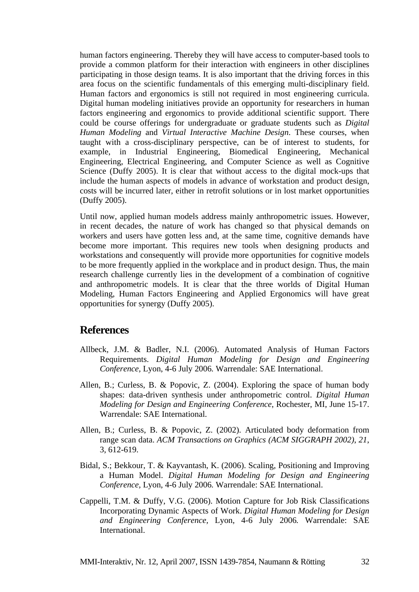human factors engineering. Thereby they will have access to computer-based tools to provide a common platform for their interaction with engineers in other disciplines participating in those design teams. It is also important that the driving forces in this area focus on the scientific fundamentals of this emerging multi-disciplinary field. Human factors and ergonomics is still not required in most engineering curricula. Digital human modeling initiatives provide an opportunity for researchers in human factors engineering and ergonomics to provide additional scientific support. There could be course offerings for undergraduate or graduate students such as *Digital Human Modeling* and *Virtual Interactive Machine Design*. These courses, when taught with a cross-disciplinary perspective, can be of interest to students, for example, in Industrial Engineering, Biomedical Engineering, Mechanical Engineering, Electrical Engineering, and Computer Science as well as Cognitive Science (Duffy 2005). It is clear that without access to the digital mock-ups that include the human aspects of models in advance of workstation and product design, costs will be incurred later, either in retrofit solutions or in lost market opportunities (Duffy 2005).

Until now, applied human models address mainly anthropometric issues. However, in recent decades, the nature of work has changed so that physical demands on workers and users have gotten less and, at the same time, cognitive demands have become more important. This requires new tools when designing products and workstations and consequently will provide more opportunities for cognitive models to be more frequently applied in the workplace and in product design. Thus, the main research challenge currently lies in the development of a combination of cognitive and anthropometric models. It is clear that the three worlds of Digital Human Modeling, Human Factors Engineering and Applied Ergonomics will have great opportunities for synergy (Duffy 2005).

## **References**

- Allbeck, J.M. & Badler, N.I. (2006). Automated Analysis of Human Factors Requirements. *Digital Human Modeling for Design and Engineering Conference,* Lyon, 4-6 July 2006*.* Warrendale: SAE International.
- Allen, B.; Curless, B. & Popovic, Z. (2004). Exploring the space of human body shapes: data-driven synthesis under anthropometric control. *Digital Human Modeling for Design and Engineering Conference*, Rochester, MI, June 15-17. Warrendale: SAE International.
- Allen, B.; Curless, B. & Popovic, Z. (2002). Articulated body deformation from range scan data. *ACM Transactions on Graphics (ACM SIGGRAPH 2002)*, *21*, 3, 612-619.
- Bidal, S.; Bekkour, T. & Kayvantash, K. (2006). Scaling, Positioning and Improving a Human Model. *Digital Human Modeling for Design and Engineering Conference,* Lyon, 4-6 July 2006*.* Warrendale: SAE International.
- Cappelli, T.M. & Duffy, V.G. (2006). Motion Capture for Job Risk Classifications Incorporating Dynamic Aspects of Work. *Digital Human Modeling for Design and Engineering Conference,* Lyon, 4-6 July 2006*.* Warrendale: SAE International.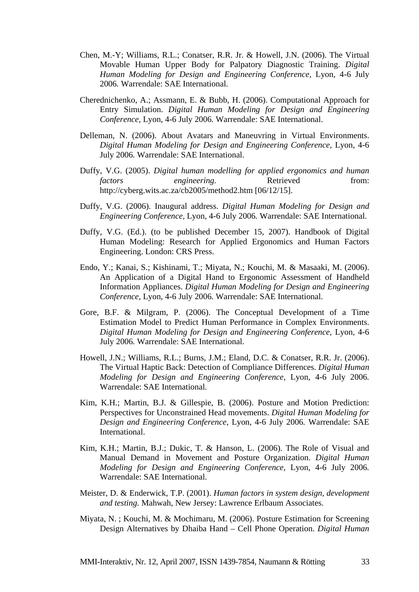- Chen, M.-Y; Williams, R.L.; Conatser, R.R. Jr. & Howell, J.N. (2006). The Virtual Movable Human Upper Body for Palpatory Diagnostic Training. *Digital Human Modeling for Design and Engineering Conference,* Lyon, 4-6 July 2006*.* Warrendale: SAE International.
- Cherednichenko, A.; Assmann, E. & Bubb, H. (2006). Computational Approach for Entry Simulation. *Digital Human Modeling for Design and Engineering Conference,* Lyon, 4-6 July 2006*.* Warrendale: SAE International.
- Delleman, N. (2006). About Avatars and Maneuvring in Virtual Environments. *Digital Human Modeling for Design and Engineering Conference,* Lyon, 4-6 July 2006*.* Warrendale: SAE International.
- Duffy, V.G. (2005). *Digital human modelling for applied ergonomics and human factors engineering.* Retrieved from: <http://cyberg.wits.ac.za/cb2005/method2.htm> [06/12/15].
- Duffy, V.G. (2006). Inaugural address. *Digital Human Modeling for Design and Engineering Conference,* Lyon, 4-6 July 2006*.* Warrendale: SAE International.
- Duffy, V.G. (Ed.). (to be published December 15, 2007). Handbook of Digital Human Modeling: Research for Applied Ergonomics and Human Factors Engineering. London: CRS Press.
- Endo, Y.; Kanai, S.; Kishinami, T.; Miyata, N.; Kouchi, M. & Masaaki, M. (2006). An Application of a Digital Hand to Ergonomic Assessment of Handheld Information Appliances. *Digital Human Modeling for Design and Engineering Conference,* Lyon, 4-6 July 2006*.* Warrendale: SAE International.
- Gore, B.F. & Milgram, P. (2006). The Conceptual Development of a Time Estimation Model to Predict Human Performance in Complex Environments. *Digital Human Modeling for Design and Engineering Conference,* Lyon, 4-6 July 2006*.* Warrendale: SAE International.
- Howell, J.N.; Williams, R.L.; Burns, J.M.; Eland, D.C. & Conatser, R.R. Jr. (2006). The Virtual Haptic Back: Detection of Compliance Differences. *Digital Human Modeling for Design and Engineering Conference,* Lyon, 4-6 July 2006*.*  Warrendale: SAE International.
- Kim, K.H.; Martin, B.J. & Gillespie, B. (2006). Posture and Motion Prediction: Perspectives for Unconstrained Head movements. *Digital Human Modeling for Design and Engineering Conference,* Lyon, 4-6 July 2006*.* Warrendale: SAE International.
- Kim, K.H.; Martin, B.J.; Dukic, T. & Hanson, L. (2006). The Role of Visual and Manual Demand in Movement and Posture Organization. *Digital Human Modeling for Design and Engineering Conference,* Lyon, 4-6 July 2006*.*  Warrendale: SAE International.
- Meister, D. & Enderwick, T.P. (2001). *Human factors in system design, development and testing.* Mahwah, New Jersey: Lawrence Erlbaum Associates.
- Miyata, N. ; Kouchi, M. & Mochimaru, M. (2006). Posture Estimation for Screening Design Alternatives by Dhaiba Hand – Cell Phone Operation. *Digital Human*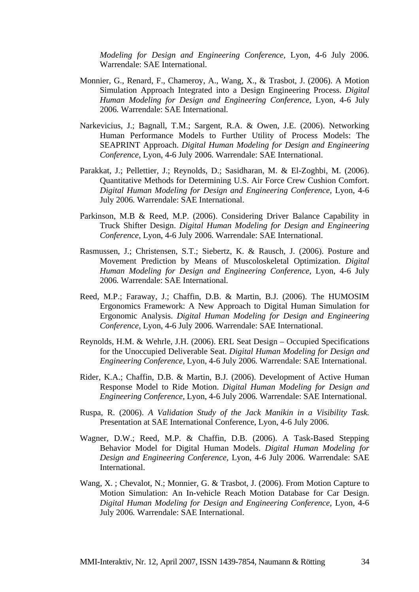*Modeling for Design and Engineering Conference,* Lyon, 4-6 July 2006*.*  Warrendale: SAE International.

- Monnier, G., Renard, F., Chameroy, A., Wang, X., & Trasbot, J. (2006). A Motion Simulation Approach Integrated into a Design Engineering Process. *Digital Human Modeling for Design and Engineering Conference,* Lyon, 4-6 July 2006*.* Warrendale: SAE International.
- Narkevicius, J.; Bagnall, T.M.; Sargent, R.A. & Owen, J.E. (2006). Networking Human Performance Models to Further Utility of Process Models: The SEAPRINT Approach. *Digital Human Modeling for Design and Engineering Conference,* Lyon, 4-6 July 2006*.* Warrendale: SAE International.
- Parakkat, J.; Pellettier, J.; Reynolds, D.; Sasidharan, M. & El-Zoghbi, M. (2006). Quantitative Methods for Determining U.S. Air Force Crew Cushion Comfort. *Digital Human Modeling for Design and Engineering Conference,* Lyon, 4-6 July 2006*.* Warrendale: SAE International.
- Parkinson, M.B & Reed, M.P. (2006). Considering Driver Balance Capability in Truck Shifter Design. *Digital Human Modeling for Design and Engineering Conference,* Lyon, 4-6 July 2006*.* Warrendale: SAE International.
- Rasmussen, J.; Christensen, S.T.; Siebertz, K. & Rausch, J. (2006). Posture and Movement Prediction by Means of Muscoloskeletal Optimization. *Digital Human Modeling for Design and Engineering Conference,* Lyon, 4-6 July 2006*.* Warrendale: SAE International.
- Reed, M.P.; Faraway, J.; Chaffin, D.B. & Martin, B.J. (2006). The HUMOSIM Ergonomics Framework: A New Approach to Digital Human Simulation for Ergonomic Analysis. *Digital Human Modeling for Design and Engineering Conference,* Lyon, 4-6 July 2006*.* Warrendale: SAE International.
- Reynolds, H.M. & Wehrle, J.H. (2006). ERL Seat Design Occupied Specifications for the Unoccupied Deliverable Seat. *Digital Human Modeling for Design and Engineering Conference,* Lyon, 4-6 July 2006*.* Warrendale: SAE International.
- Rider, K.A.; Chaffin, D.B. & Martin, B.J. (2006). Development of Active Human Response Model to Ride Motion. *Digital Human Modeling for Design and Engineering Conference,* Lyon, 4-6 July 2006*.* Warrendale: SAE International.
- Ruspa, R. (2006). *A Validation Study of the Jack Manikin in a Visibility Task.* Presentation at SAE International Conference, Lyon, 4-6 July 2006.
- Wagner, D.W.; Reed, M.P. & Chaffin, D.B. (2006). A Task-Based Stepping Behavior Model for Digital Human Models. *Digital Human Modeling for Design and Engineering Conference,* Lyon, 4-6 July 2006*.* Warrendale: SAE International.
- Wang, X. ; Chevalot, N.; Monnier, G. & Trasbot, J. (2006). From Motion Capture to Motion Simulation: An In-vehicle Reach Motion Database for Car Design. *Digital Human Modeling for Design and Engineering Conference,* Lyon, 4-6 July 2006*.* Warrendale: SAE International.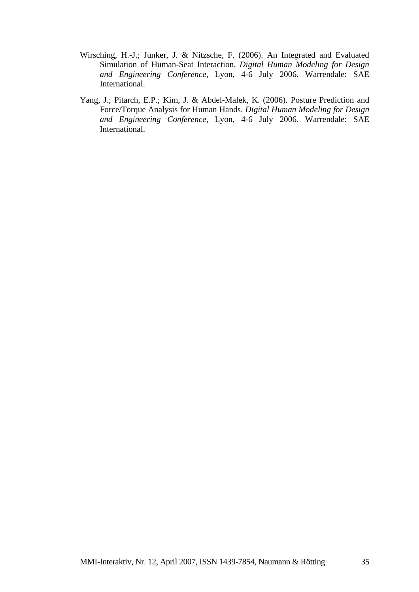- Wirsching, H.-J.; Junker, J. & Nitzsche, F. (2006). An Integrated and Evaluated Simulation of Human-Seat Interaction. *Digital Human Modeling for Design and Engineering Conference,* Lyon, 4-6 July 2006*.* Warrendale: SAE International.
- Yang, J.; Pitarch, E.P.; Kim, J. & Abdel-Malek, K. (2006). Posture Prediction and Force/Torque Analysis for Human Hands. *Digital Human Modeling for Design and Engineering Conference,* Lyon, 4-6 July 2006*.* Warrendale: SAE International.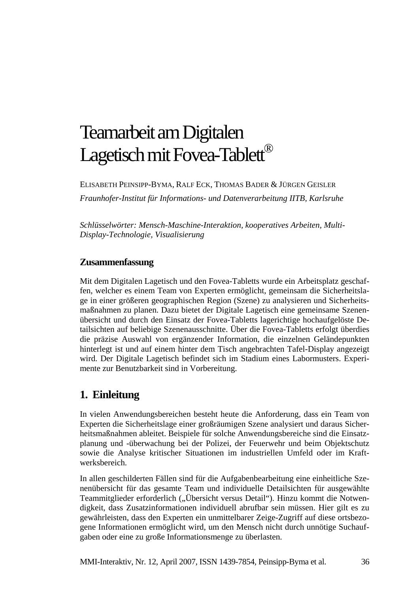# <span id="page-39-0"></span>Teamarbeit am Digitalen Lagetisch mit Fovea-Tablett®

ELISABETH PEINSIPP-BYMA, RALF ECK, THOMAS BADER & JÜRGEN GEISLER *Fraunhofer-Institut für Informations- und Datenverarbeitung IITB, Karlsruhe* 

*Schlüsselwörter: Mensch-Maschine-Interaktion, kooperatives Arbeiten, Multi-Display-Technologie, Visualisierung* 

#### **Zusammenfassung**

Mit dem Digitalen Lagetisch und den Fovea-Tabletts wurde ein Arbeitsplatz geschaffen, welcher es einem Team von Experten ermöglicht, gemeinsam die Sicherheitslage in einer größeren geographischen Region (Szene) zu analysieren und Sicherheitsmaßnahmen zu planen. Dazu bietet der Digitale Lagetisch eine gemeinsame Szenenübersicht und durch den Einsatz der Fovea-Tabletts lagerichtige hochaufgelöste Detailsichten auf beliebige Szenenausschnitte. Über die Fovea-Tabletts erfolgt überdies die präzise Auswahl von ergänzender Information, die einzelnen Geländepunkten hinterlegt ist und auf einem hinter dem Tisch angebrachten Tafel-Display angezeigt wird. Der Digitale Lagetisch befindet sich im Stadium eines Labormusters. Experimente zur Benutzbarkeit sind in Vorbereitung.

# **1. Einleitung**

In vielen Anwendungsbereichen besteht heute die Anforderung, dass ein Team von Experten die Sicherheitslage einer großräumigen Szene analysiert und daraus Sicherheitsmaßnahmen ableitet. Beispiele für solche Anwendungsbereiche sind die Einsatzplanung und -überwachung bei der Polizei, der Feuerwehr und beim Objektschutz sowie die Analyse kritischer Situationen im industriellen Umfeld oder im Kraftwerksbereich.

In allen geschilderten Fällen sind für die Aufgabenbearbeitung eine einheitliche Szenenübersicht für das gesamte Team und individuelle Detailsichten für ausgewählte Teammitglieder erforderlich ("Übersicht versus Detail"). Hinzu kommt die Notwendigkeit, dass Zusatzinformationen individuell abrufbar sein müssen. Hier gilt es zu gewährleisten, dass den Experten ein unmittelbarer Zeige-Zugriff auf diese ortsbezogene Informationen ermöglicht wird, um den Mensch nicht durch unnötige Suchaufgaben oder eine zu große Informationsmenge zu überlasten.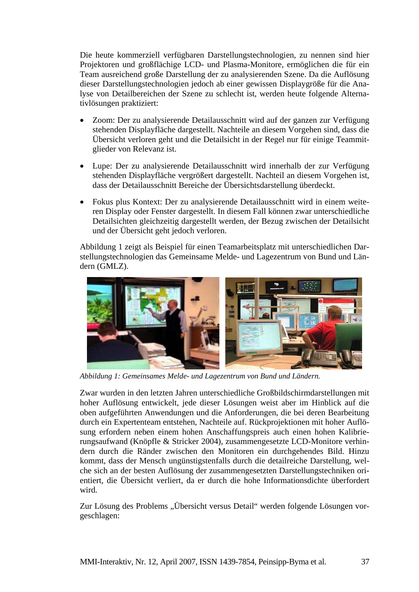Die heute kommerziell verfügbaren Darstellungstechnologien, zu nennen sind hier Projektoren und großflächige LCD- und Plasma-Monitore, ermöglichen die für ein Team ausreichend große Darstellung der zu analysierenden Szene. Da die Auflösung dieser Darstellungstechnologien jedoch ab einer gewissen Displaygröße für die Analyse von Detailbereichen der Szene zu schlecht ist, werden heute folgende Alternativlösungen praktiziert:

- Zoom: Der zu analysierende Detailausschnitt wird auf der ganzen zur Verfügung stehenden Displayfläche dargestellt. Nachteile an diesem Vorgehen sind, dass die Übersicht verloren geht und die Detailsicht in der Regel nur für einige Teammitglieder von Relevanz ist.
- Lupe: Der zu analysierende Detailausschnitt wird innerhalb der zur Verfügung stehenden Displayfläche vergrößert dargestellt. Nachteil an diesem Vorgehen ist, dass der Detailausschnitt Bereiche der Übersichtsdarstellung überdeckt.
- Fokus plus Kontext: Der zu analysierende Detailausschnitt wird in einem weiteren Display oder Fenster dargestellt. In diesem Fall können zwar unterschiedliche Detailsichten gleichzeitig dargestellt werden, der Bezug zwischen der Detailsicht und der Übersicht geht jedoch verloren.

[Abbildung 1](#page-40-0) zeigt als Beispiel für einen Teamarbeitsplatz mit unterschiedlichen Darstellungstechnologien das Gemeinsame Melde- und Lagezentrum von Bund und Ländern (GMLZ).



*Abbildung 1: Gemeinsames Melde- und Lagezentrum von Bund und Ländern.* 

<span id="page-40-0"></span>Zwar wurden in den letzten Jahren unterschiedliche Großbildschirmdarstellungen mit hoher Auflösung entwickelt, jede dieser Lösungen weist aber im Hinblick auf die oben aufgeführten Anwendungen und die Anforderungen, die bei deren Bearbeitung durch ein Expertenteam entstehen, Nachteile auf. Rückprojektionen mit hoher Auflösung erfordern neben einem hohen Anschaffungspreis auch einen hohen Kalibrierungsaufwand (Knöpfle & Stricker 2004), zusammengesetzte LCD-Monitore verhindern durch die Ränder zwischen den Monitoren ein durchgehendes Bild. Hinzu kommt, dass der Mensch ungünstigstenfalls durch die detailreiche Darstellung, welche sich an der besten Auflösung der zusammengesetzten Darstellungstechniken orientiert, die Übersicht verliert, da er durch die hohe Informationsdichte überfordert wird.

Zur Lösung des Problems "Übersicht versus Detail" werden folgende Lösungen vorgeschlagen: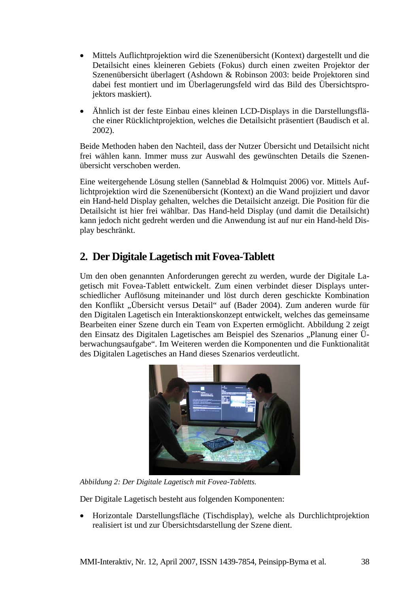- Mittels Auflichtprojektion wird die Szenenübersicht (Kontext) dargestellt und die Detailsicht eines kleineren Gebiets (Fokus) durch einen zweiten Projektor der Szenenübersicht überlagert (Ashdown & Robinson 2003: beide Projektoren sind dabei fest montiert und im Überlagerungsfeld wird das Bild des Übersichtsprojektors maskiert).
- Ähnlich ist der feste Einbau eines kleinen LCD-Displays in die Darstellungsfläche einer Rücklichtprojektion, welches die Detailsicht präsentiert (Baudisch et al. 2002).

Beide Methoden haben den Nachteil, dass der Nutzer Übersicht und Detailsicht nicht frei wählen kann. Immer muss zur Auswahl des gewünschten Details die Szenenübersicht verschoben werden.

Eine weitergehende Lösung stellen (Sanneblad & Holmquist 2006) vor. Mittels Auflichtprojektion wird die Szenenübersicht (Kontext) an die Wand projiziert und davor ein Hand-held Display gehalten, welches die Detailsicht anzeigt. Die Position für die Detailsicht ist hier frei wählbar. Das Hand-held Display (und damit die Detailsicht) kann jedoch nicht gedreht werden und die Anwendung ist auf nur ein Hand-held Display beschränkt.

# **2. Der Digitale Lagetisch mit Fovea-Tablett**

Um den oben genannten Anforderungen gerecht zu werden, wurde der Digitale Lagetisch mit Fovea-Tablett entwickelt. Zum einen verbindet dieser Displays unterschiedlicher Auflösung miteinander und löst durch deren geschickte Kombination den Konflikt "Übersicht versus Detail" auf (Bader 2004). Zum anderen wurde für den Digitalen Lagetisch ein Interaktionskonzept entwickelt, welches das gemeinsame Bearbeiten einer Szene durch ein Team von Experten ermöglicht. [Abbildung 2](#page-41-0) zeigt den Einsatz des Digitalen Lagetisches am Beispiel des Szenarios "Planung einer Überwachungsaufgabe". Im Weiteren werden die Komponenten und die Funktionalität des Digitalen Lagetisches an Hand dieses Szenarios verdeutlicht.

<span id="page-41-0"></span>

*Abbildung 2: Der Digitale Lagetisch mit Fovea-Tabletts.* 

Der Digitale Lagetisch besteht aus folgenden Komponenten:

• Horizontale Darstellungsfläche (Tischdisplay), welche als Durchlichtprojektion realisiert ist und zur Übersichtsdarstellung der Szene dient.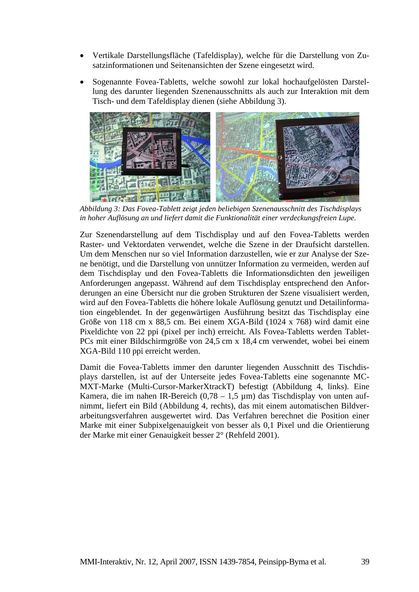- Vertikale Darstellungsfläche (Tafeldisplay), welche für die Darstellung von Zusatzinformationen und Seitenansichten der Szene eingesetzt wird.
- Sogenannte Fovea-Tabletts, welche sowohl zur lokal hochaufgelösten Darstellung des darunter liegenden Szenenausschnitts als auch zur Interaktion mit dem Tisch- und dem Tafeldisplay dienen (siehe [Abbildung 3\)](#page-42-0).

<span id="page-42-0"></span>

*Abbildung 3: Das Fovea-Tablett zeigt jeden beliebigen Szenenausschnitt des Tischdisplays in hoher Auflösung an und liefert damit die Funktionalität einer verdeckungsfreien Lupe.* 

Zur Szenendarstellung auf dem Tischdisplay und auf den Fovea-Tabletts werden Raster- und Vektordaten verwendet, welche die Szene in der Draufsicht darstellen. Um dem Menschen nur so viel Information darzustellen, wie er zur Analyse der Szene benötigt, und die Darstellung von unnützer Information zu vermeiden, werden auf dem Tischdisplay und den Fovea-Tabletts die Informationsdichten den jeweiligen Anforderungen angepasst. Während auf dem Tischdisplay entsprechend den Anforderungen an eine Übersicht nur die groben Strukturen der Szene visualisiert werden, wird auf den Fovea-Tabletts die höhere lokale Auflösung genutzt und Detailinformation eingeblendet. In der gegenwärtigen Ausführung besitzt das Tischdisplay eine Größe von 118 cm x 88,5 cm. Bei einem XGA-Bild (1024 x 768) wird damit eine Pixeldichte von 22 ppi (pixel per inch) erreicht. Als Fovea-Tabletts werden Tablet-PCs mit einer Bildschirmgröße von 24,5 cm x 18,4 cm verwendet, wobei bei einem XGA-Bild 110 ppi erreicht werden.

Damit die Fovea-Tabletts immer den darunter liegenden Ausschnitt des Tischdisplays darstellen, ist auf der Unterseite jedes Fovea-Tabletts eine sogenannte MC-MXT-Marke (Multi-Cursor-MarkerXtrackT) befestigt [\(Abbildung 4,](#page-43-0) links). Eine Kamera, die im nahen IR-Bereich (0,78 – 1,5 µm) das Tischdisplay von unten aufnimmt, liefert ein Bild [\(Abbildung 4,](#page-43-0) rechts), das mit einem automatischen Bildverarbeitungsverfahren ausgewertet wird. Das Verfahren berechnet die Position einer Marke mit einer Subpixelgenauigkeit von besser als 0,1 Pixel und die Orientierung der Marke mit einer Genauigkeit besser 2° (Rehfeld 2001).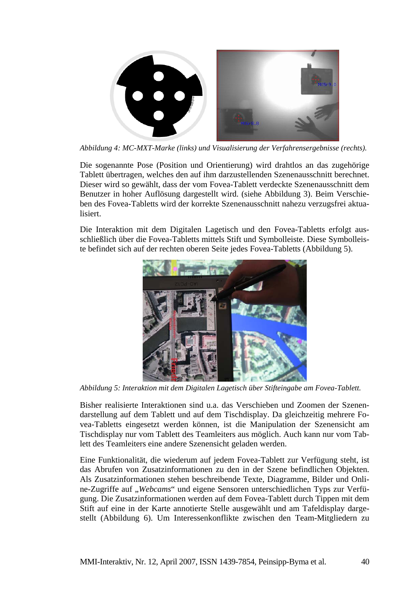<span id="page-43-0"></span>

*Abbildung 4: MC-MXT-Marke (links) und Visualisierung der Verfahrensergebnisse (rechts).* 

Die sogenannte Pose (Position und Orientierung) wird drahtlos an das zugehörige Tablett übertragen, welches den auf ihm darzustellenden Szenenausschnitt berechnet. Dieser wird so gewählt, dass der vom Fovea-Tablett verdeckte Szenenausschnitt dem Benutzer in hoher Auflösung dargestellt wird. (siehe [Abbildung 3\)](#page-42-0). Beim Verschieben des Fovea-Tabletts wird der korrekte Szenenausschnitt nahezu verzugsfrei aktualisiert.

Die Interaktion mit dem Digitalen Lagetisch und den Fovea-Tabletts erfolgt ausschließlich über die Fovea-Tabletts mittels Stift und Symbolleiste. Diese Symbolleiste befindet sich auf der rechten oberen Seite jedes Fovea-Tabletts ([Abbildung 5\)](#page-43-1).

<span id="page-43-1"></span>

*Abbildung 5: Interaktion mit dem Digitalen Lagetisch über Stifteingabe am Fovea-Tablett.* 

Bisher realisierte Interaktionen sind u.a. das Verschieben und Zoomen der Szenendarstellung auf dem Tablett und auf dem Tischdisplay. Da gleichzeitig mehrere Fovea-Tabletts eingesetzt werden können, ist die Manipulation der Szenensicht am Tischdisplay nur vom Tablett des Teamleiters aus möglich. Auch kann nur vom Tablett des Teamleiters eine andere Szenensicht geladen werden.

Eine Funktionalität, die wiederum auf jedem Fovea-Tablett zur Verfügung steht, ist das Abrufen von Zusatzinformationen zu den in der Szene befindlichen Objekten. Als Zusatzinformationen stehen beschreibende Texte, Diagramme, Bilder und Online-Zugriffe auf "*Webcams*" und eigene Sensoren unterschiedlichen Typs zur Verfügung. Die Zusatzinformationen werden auf dem Fovea-Tablett durch Tippen mit dem Stift auf eine in der Karte annotierte Stelle ausgewählt und am Tafeldisplay dargestellt [\(Abbildung 6\)](#page-44-0). Um Interessenkonflikte zwischen den Team-Mitgliedern zu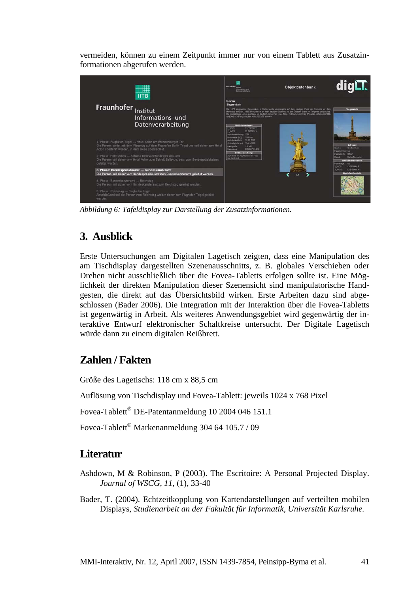vermeiden, können zu einem Zeitpunkt immer nur von einem Tablett aus Zusatzinformationen abgerufen werden.

<span id="page-44-0"></span>

*Abbildung 6: Tafeldisplay zur Darstellung der Zusatzinformationen.* 

# **3. Ausblick**

Erste Untersuchungen am Digitalen Lagetisch zeigten, dass eine Manipulation des am Tischdisplay dargestellten Szenenausschnitts, z. B. globales Verschieben oder Drehen nicht ausschließlich über die Fovea-Tabletts erfolgen sollte ist. Eine Möglichkeit der direkten Manipulation dieser Szenensicht sind manipulatorische Handgesten, die direkt auf das Übersichtsbild wirken. Erste Arbeiten dazu sind abgeschlossen (Bader 2006). Die Integration mit der Interaktion über die Fovea-Tabletts ist gegenwärtig in Arbeit. Als weiteres Anwendungsgebiet wird gegenwärtig der interaktive Entwurf elektronischer Schaltkreise untersucht. Der Digitale Lagetisch würde dann zu einem digitalen Reißbrett.

# **Zahlen / Fakten**

Größe des Lagetischs: 118 cm x 88,5 cm

Auflösung von Tischdisplay und Fovea-Tablett: jeweils 1024 x 768 Pixel

Fovea-Tablett® DE-Patentanmeldung 10 2004 046 151.1

Fovea-Tablett® Markenanmeldung 304 64 105.7 / 09

# **Literatur**

Ashdown, M & Robinson, P (2003). The Escritoire: A Personal Projected Display. *Journal of WSCG, 11,* (1), 33-40

Bader, T. (2004). Echtzeitkopplung von Kartendarstellungen auf verteilten mobilen Displays, *Studienarbeit an der Fakultät für Informatik, Universität Karlsruhe.*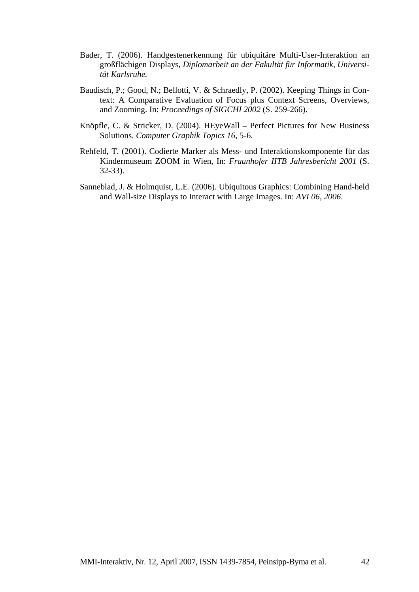- Bader, T. (2006). Handgestenerkennung für ubiquitäre Multi-User-Interaktion an großflächigen Displays, *Diplomarbeit an der Fakultät für Informatik, Universität Karlsruhe.*
- Baudisch, P.; Good, N.; Bellotti, V. & Schraedly, P. (2002). Keeping Things in Context: A Comparative Evaluation of Focus plus Context Screens, Overviews, and Zooming. In: *Proceedings of SIGCHI 2002* (S. 259-266).
- Knöpfle, C. & Stricker, D. (2004). HEyeWall Perfect Pictures for New Business Solutions. *Computer Graphik Topics 16,* 5-6.
- Rehfeld, T. (2001). Codierte Marker als Mess- und Interaktionskomponente für das Kindermuseum ZOOM in Wien, In: *Fraunhofer IITB Jahresbericht 2001* (S. 32-33).
- Sanneblad, J. & Holmquist, L.E. (2006). Ubiquitous Graphics: Combining Hand-held and Wall-size Displays to Interact with Large Images. In: *AVI 06, 2006*.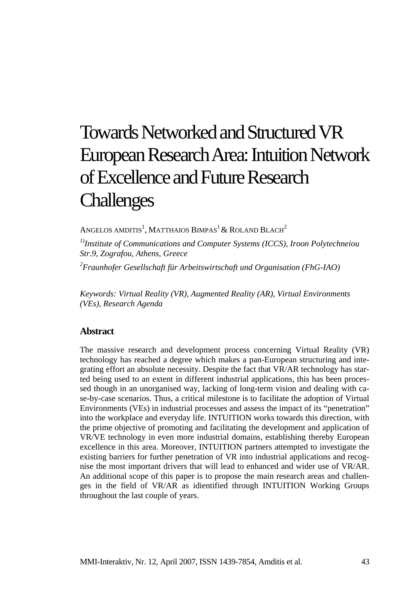# <span id="page-46-0"></span>Towards Networked and Structured VR European Research Area: Intuition Network of Excellence and Future Research **Challenges**

ANGELOS AMDITIS<sup>1</sup>, MATTHAIOS  $\mathrm{BIMPAS}^1\,\&\,\mathrm{ROLAND}\,\mathrm{BLACH}^2$ 

*1)Institute of Communications and Computer Systems (ICCS), Iroon Polytechneiou Str.9, Zografou, Athens, Greece* 

*2 Fraunhofer Gesellschaft für Arbeitswirtschaft und Organisation (FhG-IAO)*

*Keywords: Virtual Reality (VR), Augmented Reality (AR), Virtual Environments (VEs), Research Agenda* 

#### **Abstract**

The massive research and development process concerning Virtual Reality (VR) technology has reached a degree which makes a pan-European structuring and integrating effort an absolute necessity. Despite the fact that VR/AR technology has started being used to an extent in different industrial applications, this has been processed though in an unorganised way, lacking of long-term vision and dealing with case-by-case scenarios. Thus, a critical milestone is to facilitate the adoption of Virtual Environments (VEs) in industrial processes and assess the impact of its "penetration" into the workplace and everyday life. INTUITION works towards this direction, with the prime objective of promoting and facilitating the development and application of VR/VE technology in even more industrial domains, establishing thereby European excellence in this area. Moreover, INTUITION partners attempted to investigate the existing barriers for further penetration of VR into industrial applications and recognise the most important drivers that will lead to enhanced and wider use of VR/AR. An additional scope of this paper is to propose the main research areas and challenges in the field of VR/AR as idientified through INTUITION Working Groups throughout the last couple of years.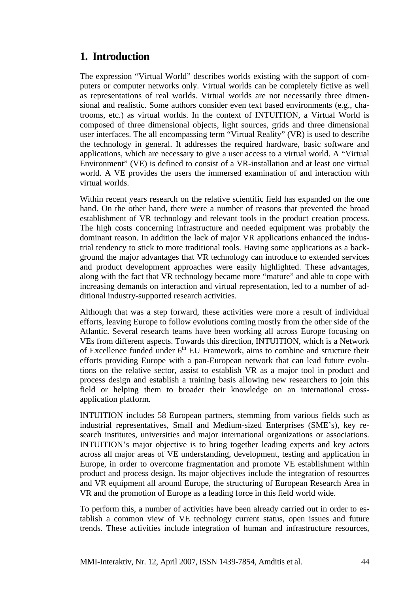# **1. Introduction**

The expression "Virtual World" describes worlds existing with the support of computers or computer networks only. Virtual worlds can be completely fictive as well as representations of real worlds. Virtual worlds are not necessarily three dimensional and realistic. Some authors consider even text based environments (e.g., chatrooms, etc.) as virtual worlds. In the context of INTUITION, a Virtual World is composed of three dimensional objects, light sources, grids and three dimensional user interfaces. The all encompassing term "Virtual Reality" (VR) is used to describe the technology in general. It addresses the required hardware, basic software and applications, which are necessary to give a user access to a virtual world. A "Virtual Environment" (VE) is defined to consist of a VR-installation and at least one virtual world. A VE provides the users the immersed examination of and interaction with virtual worlds.

Within recent years research on the relative scientific field has expanded on the one hand. On the other hand, there were a number of reasons that prevented the broad establishment of VR technology and relevant tools in the product creation process. The high costs concerning infrastructure and needed equipment was probably the dominant reason. In addition the lack of major VR applications enhanced the industrial tendency to stick to more traditional tools. Having some applications as a background the major advantages that VR technology can introduce to extended services and product development approaches were easily highlighted. These advantages, along with the fact that VR technology became more "mature" and able to cope with increasing demands on interaction and virtual representation, led to a number of additional industry-supported research activities.

Although that was a step forward, these activities were more a result of individual efforts, leaving Europe to follow evolutions coming mostly from the other side of the Atlantic. Several research teams have been working all across Europe focusing on VEs from different aspects. Towards this direction, INTUITION, which is a Network of Excellence funded under  $6<sup>th</sup>$  EU Framework, aims to combine and structure their efforts providing Europe with a pan-European network that can lead future evolutions on the relative sector, assist to establish VR as a major tool in product and process design and establish a training basis allowing new researchers to join this field or helping them to broader their knowledge on an international crossapplication platform.

INTUITION includes 58 European partners, stemming from various fields such as industrial representatives, Small and Medium-sized Enterprises (SME's), key research institutes, universities and major international organizations or associations. INTUITION's major objective is to bring together leading experts and key actors across all major areas of VE understanding, development, testing and application in Europe, in order to overcome fragmentation and promote VE establishment within product and process design. Its major objectives include the integration of resources and VR equipment all around Europe, the structuring of European Research Area in VR and the promotion of Europe as a leading force in this field world wide.

To perform this, a number of activities have been already carried out in order to establish a common view of VE technology current status, open issues and future trends. These activities include integration of human and infrastructure resources,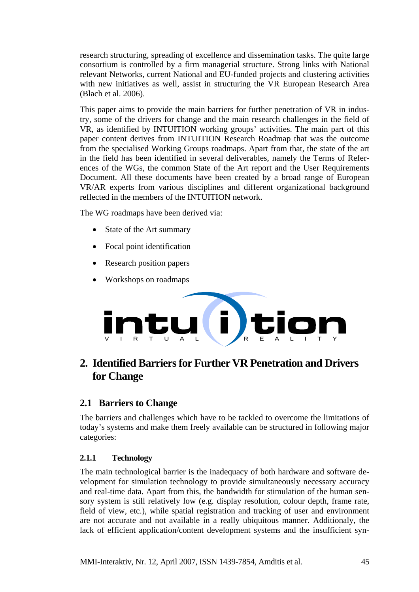research structuring, spreading of excellence and dissemination tasks. The quite large consortium is controlled by a firm managerial structure. Strong links with National relevant Networks, current National and EU-funded projects and clustering activities with new initiatives as well, assist in structuring the VR European Research Area (Blach et al. 2006).

This paper aims to provide the main barriers for further penetration of VR in industry, some of the drivers for change and the main research challenges in the field of VR, as identified by INTUITION working groups' activities. The main part of this paper content derives from INTUITION Research Roadmap that was the outcome from the specialised Working Groups roadmaps. Apart from that, the state of the art in the field has been identified in several deliverables, namely the Terms of References of the WGs, the common State of the Art report and the User Requirements Document. All these documents have been created by a broad range of European VR/AR experts from various disciplines and different organizational background reflected in the members of the INTUITION network.

The WG roadmaps have been derived via:

- State of the Art summary
- Focal point identification
- Research position papers
- Workshops on roadmaps



# **2. Identified Barriers for Further VR Penetration and Drivers for Change**

## **2.1 Barriers to Change**

The barriers and challenges which have to be tackled to overcome the limitations of today's systems and make them freely available can be structured in following major categories:

#### **2.1.1 Technology**

The main technological barrier is the inadequacy of both hardware and software development for simulation technology to provide simultaneously necessary accuracy and real-time data. Apart from this, the bandwidth for stimulation of the human sensory system is still relatively low (e.g. display resolution, colour depth, frame rate, field of view, etc.), while spatial registration and tracking of user and environment are not accurate and not available in a really ubiquitous manner. Additionaly, the lack of efficient application/content development systems and the insufficient syn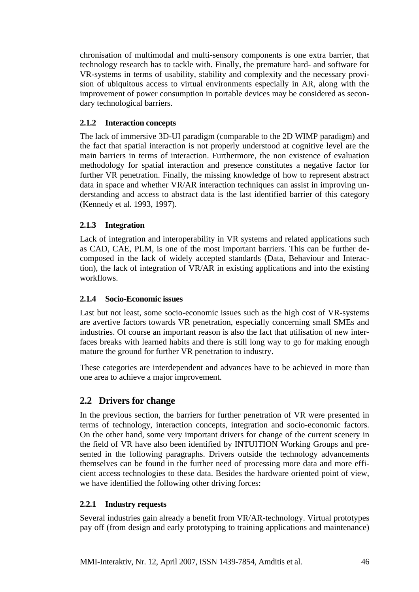chronisation of multimodal and multi-sensory components is one extra barrier, that technology research has to tackle with. Finally, the premature hard- and software for VR-systems in terms of usability, stability and complexity and the necessary provision of ubiquitous access to virtual environments especially in AR, along with the improvement of power consumption in portable devices may be considered as secondary technological barriers.

#### **2.1.2 Interaction concepts**

The lack of immersive 3D-UI paradigm (comparable to the 2D WIMP paradigm) and the fact that spatial interaction is not properly understood at cognitive level are the main barriers in terms of interaction. Furthermore, the non existence of evaluation methodology for spatial interaction and presence constitutes a negative factor for further VR penetration. Finally, the missing knowledge of how to represent abstract data in space and whether VR/AR interaction techniques can assist in improving understanding and access to abstract data is the last identified barrier of this category (Kennedy et al. 1993, 1997).

#### **2.1.3 Integration**

Lack of integration and interoperability in VR systems and related applications such as CAD, CAE, PLM, is one of the most important barriers. This can be further decomposed in the lack of widely accepted standards (Data, Behaviour and Interaction), the lack of integration of VR/AR in existing applications and into the existing workflows.

#### **2.1.4 Socio-Economic issues**

Last but not least, some socio-economic issues such as the high cost of VR-systems are avertive factors towards VR penetration, especially concerning small SMEs and industries. Of course an important reason is also the fact that utilisation of new interfaces breaks with learned habits and there is still long way to go for making enough mature the ground for further VR penetration to industry.

These categories are interdependent and advances have to be achieved in more than one area to achieve a major improvement.

## **2.2 Drivers for change**

In the previous section, the barriers for further penetration of VR were presented in terms of technology, interaction concepts, integration and socio-economic factors. On the other hand, some very important drivers for change of the current scenery in the field of VR have also been identified by INTUITION Working Groups and presented in the following paragraphs. Drivers outside the technology advancements themselves can be found in the further need of processing more data and more efficient access technologies to these data. Besides the hardware oriented point of view, we have identified the following other driving forces:

#### **2.2.1 Industry requests**

Several industries gain already a benefit from VR/AR-technology. Virtual prototypes pay off (from design and early prototyping to training applications and maintenance)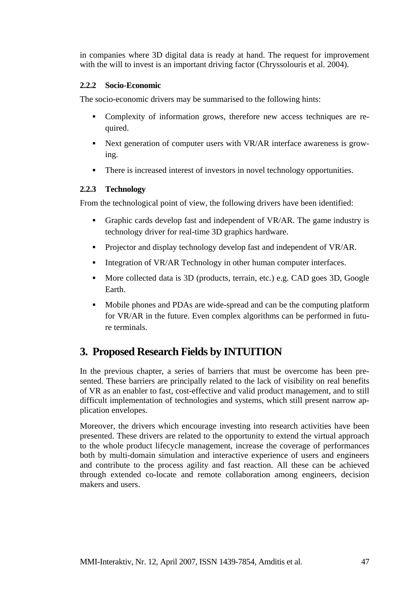in companies where 3D digital data is ready at hand. The request for improvement with the will to invest is an important driving factor (Chryssolouris et al. 2004).

#### **2.2.2 Socio-Economic**

The socio-economic drivers may be summarised to the following hints:

- Complexity of information grows, therefore new access techniques are required.
- Next generation of computer users with VR/AR interface awareness is growing.
- There is increased interest of investors in novel technology opportunities.

#### **2.2.3 Technology**

From the technological point of view, the following drivers have been identified:

- Graphic cards develop fast and independent of VR/AR. The game industry is technology driver for real-time 3D graphics hardware.
- Projector and display technology develop fast and independent of VR/AR.
- Integration of VR/AR Technology in other human computer interfaces.
- More collected data is 3D (products, terrain, etc.) e.g. CAD goes 3D, Google Earth.
- Mobile phones and PDAs are wide-spread and can be the computing platform for VR/AR in the future. Even complex algorithms can be performed in future terminals.

# **3. Proposed Research Fields by INTUITION**

In the previous chapter, a series of barriers that must be overcome has been presented. These barriers are principally related to the lack of visibility on real benefits of VR as an enabler to fast, cost-effective and valid product management, and to still difficult implementation of technologies and systems, which still present narrow application envelopes.

Moreover, the drivers which encourage investing into research activities have been presented. These drivers are related to the opportunity to extend the virtual approach to the whole product lifecycle management, increase the coverage of performances both by multi-domain simulation and interactive experience of users and engineers and contribute to the process agility and fast reaction. All these can be achieved through extended co-locate and remote collaboration among engineers, decision makers and users.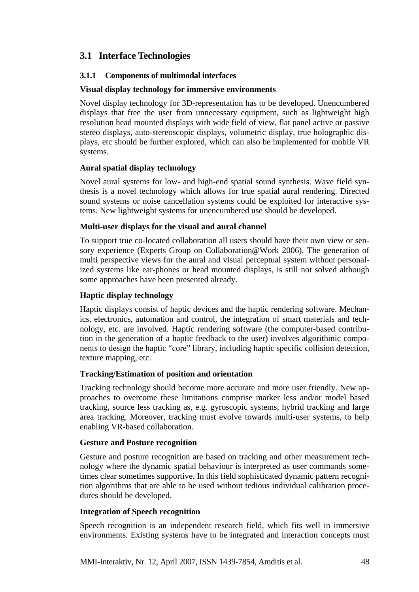## **3.1 Interface Technologies**

#### **3.1.1 Components of multimodal interfaces**

#### **Visual display technology for immersive environments**

Novel display technology for 3D-representation has to be developed. Unencumbered displays that free the user from unnecessary equipment, such as lightweight high resolution head mounted displays with wide field of view, flat panel active or passive stereo displays, auto-stereoscopic displays, volumetric display, true holographic displays, etc should be further explored, which can also be implemented for mobile VR systems.

#### **Aural spatial display technology**

Novel aural systems for low- and high-end spatial sound synthesis. Wave field synthesis is a novel technology which allows for true spatial aural rendering. Directed sound systems or noise cancellation systems could be exploited for interactive systems. New lightweight systems for unencumbered use should be developed.

#### **Multi-user displays for the visual and aural channel**

To support true co-located collaboration all users should have their own view or sensory experience (Experts Group on Collaboration@Work 2006). The generation of multi perspective views for the aural and visual perceptual system without personalized systems like ear-phones or head mounted displays, is still not solved although some approaches have been presented already.

#### **Haptic display technology**

Haptic displays consist of haptic devices and the haptic rendering software. Mechanics, electronics, automation and control, the integration of smart materials and technology, etc. are involved. Haptic rendering software (the computer-based contribution in the generation of a haptic feedback to the user) involves algorithmic components to design the haptic "core" library, including haptic specific collision detection, texture mapping, etc.

#### **Tracking/Estimation of position and orientation**

Tracking technology should become more accurate and more user friendly. New approaches to overcome these limitations comprise marker less and/or model based tracking, source less tracking as, e.g. gyroscopic systems, hybrid tracking and large area tracking. Moreover, tracking must evolve towards multi-user systems, to help enabling VR-based collaboration.

#### **Gesture and Posture recognition**

Gesture and posture recognition are based on tracking and other measurement technology where the dynamic spatial behaviour is interpreted as user commands sometimes clear sometimes supportive. In this field sophisticated dynamic pattern recognition algorithms that are able to be used without tedious individual calibration procedures should be developed.

#### **Integration of Speech recognition**

Speech recognition is an independent research field, which fits well in immersive environments. Existing systems have to be integrated and interaction concepts must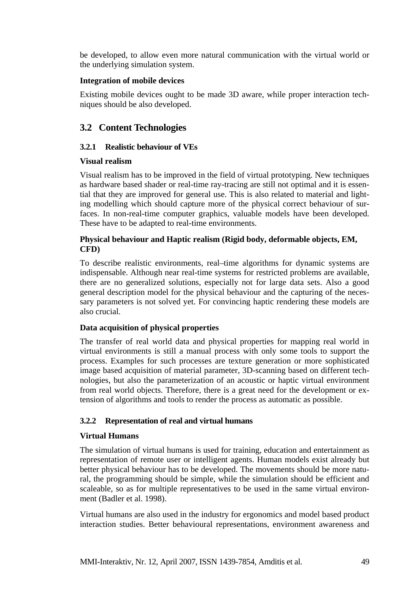be developed, to allow even more natural communication with the virtual world or the underlying simulation system.

#### **Integration of mobile devices**

Existing mobile devices ought to be made 3D aware, while proper interaction techniques should be also developed.

### **3.2 Content Technologies**

#### **3.2.1 Realistic behaviour of VEs**

#### **Visual realism**

Visual realism has to be improved in the field of virtual prototyping. New techniques as hardware based shader or real-time ray-tracing are still not optimal and it is essential that they are improved for general use. This is also related to material and lighting modelling which should capture more of the physical correct behaviour of surfaces. In non-real-time computer graphics, valuable models have been developed. These have to be adapted to real-time environments.

#### **Physical behaviour and Haptic realism (Rigid body, deformable objects, EM, CFD)**

To describe realistic environments, real–time algorithms for dynamic systems are indispensable. Although near real-time systems for restricted problems are available, there are no generalized solutions, especially not for large data sets. Also a good general description model for the physical behaviour and the capturing of the necessary parameters is not solved yet. For convincing haptic rendering these models are also crucial.

#### **Data acquisition of physical properties**

The transfer of real world data and physical properties for mapping real world in virtual environments is still a manual process with only some tools to support the process. Examples for such processes are texture generation or more sophisticated image based acquisition of material parameter, 3D-scanning based on different technologies, but also the parameterization of an acoustic or haptic virtual environment from real world objects. Therefore, there is a great need for the development or extension of algorithms and tools to render the process as automatic as possible.

#### **3.2.2 Representation of real and virtual humans**

#### **Virtual Humans**

The simulation of virtual humans is used for training, education and entertainment as representation of remote user or intelligent agents. Human models exist already but better physical behaviour has to be developed. The movements should be more natural, the programming should be simple, while the simulation should be efficient and scaleable, so as for multiple representatives to be used in the same virtual environment (Badler et al. 1998).

Virtual humans are also used in the industry for ergonomics and model based product interaction studies. Better behavioural representations, environment awareness and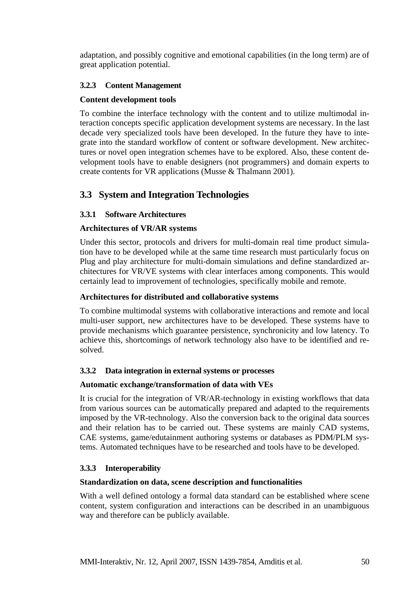adaptation, and possibly cognitive and emotional capabilities (in the long term) are of great application potential.

#### **3.2.3 Content Management**

#### **Content development tools**

To combine the interface technology with the content and to utilize multimodal interaction concepts specific application development systems are necessary. In the last decade very specialized tools have been developed. In the future they have to integrate into the standard workflow of content or software development. New architectures or novel open integration schemes have to be explored. Also, these content development tools have to enable designers (not programmers) and domain experts to create contents for VR applications (Musse & Thalmann 2001).

## **3.3 System and Integration Technologies**

## **3.3.1 Software Architectures**

#### **Architectures of VR/AR systems**

Under this sector, protocols and drivers for multi-domain real time product simulation have to be developed while at the same time research must particularly focus on Plug and play architecture for multi-domain simulations and define standardized architectures for VR/VE systems with clear interfaces among components. This would certainly lead to improvement of technologies, specifically mobile and remote.

#### **Architectures for distributed and collaborative systems**

To combine multimodal systems with collaborative interactions and remote and local multi-user support, new architectures have to be developed. These systems have to provide mechanisms which guarantee persistence, synchronicity and low latency. To achieve this, shortcomings of network technology also have to be identified and resolved.

#### **3.3.2 Data integration in external systems or processes**

#### **Automatic exchange/transformation of data with VEs**

It is crucial for the integration of VR/AR-technology in existing workflows that data from various sources can be automatically prepared and adapted to the requirements imposed by the VR-technology. Also the conversion back to the original data sources and their relation has to be carried out. These systems are mainly CAD systems, CAE systems, game/edutainment authoring systems or databases as PDM/PLM systems. Automated techniques have to be researched and tools have to be developed.

#### **3.3.3 Interoperability**

#### **Standardization on data, scene description and functionalities**

With a well defined ontology a formal data standard can be established where scene content, system configuration and interactions can be described in an unambiguous way and therefore can be publicly available.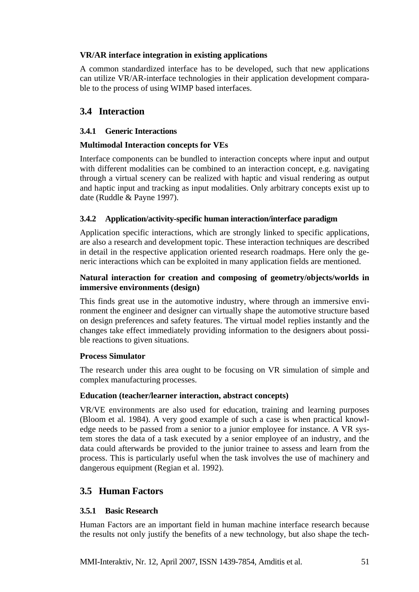#### **VR/AR interface integration in existing applications**

A common standardized interface has to be developed, such that new applications can utilize VR/AR-interface technologies in their application development comparable to the process of using WIMP based interfaces.

## **3.4 Interaction**

#### **3.4.1 Generic Interactions**

#### **Multimodal Interaction concepts for VEs**

Interface components can be bundled to interaction concepts where input and output with different modalities can be combined to an interaction concept, e.g. navigating through a virtual scenery can be realized with haptic and visual rendering as output and haptic input and tracking as input modalities. Only arbitrary concepts exist up to date (Ruddle & Payne 1997).

#### **3.4.2 Application/activity-specific human interaction/interface paradigm**

Application specific interactions, which are strongly linked to specific applications, are also a research and development topic. These interaction techniques are described in detail in the respective application oriented research roadmaps. Here only the generic interactions which can be exploited in many application fields are mentioned.

#### **Natural interaction for creation and composing of geometry/objects/worlds in immersive environments (design)**

This finds great use in the automotive industry, where through an immersive environment the engineer and designer can virtually shape the automotive structure based on design preferences and safety features. The virtual model replies instantly and the changes take effect immediately providing information to the designers about possible reactions to given situations.

#### **Process Simulator**

The research under this area ought to be focusing on VR simulation of simple and complex manufacturing processes.

#### **Education (teacher/learner interaction, abstract concepts)**

VR/VE environments are also used for education, training and learning purposes (Bloom et al. 1984). A very good example of such a case is when practical knowledge needs to be passed from a senior to a junior employee for instance. A VR system stores the data of a task executed by a senior employee of an industry, and the data could afterwards be provided to the junior trainee to assess and learn from the process. This is particularly useful when the task involves the use of machinery and dangerous equipment (Regian et al. 1992).

## **3.5 Human Factors**

#### **3.5.1 Basic Research**

Human Factors are an important field in human machine interface research because the results not only justify the benefits of a new technology, but also shape the tech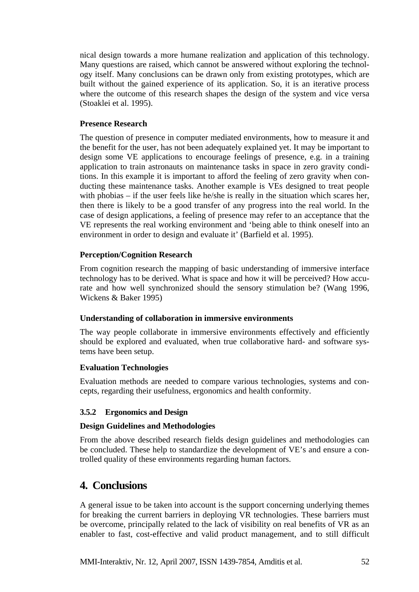nical design towards a more humane realization and application of this technology. Many questions are raised, which cannot be answered without exploring the technology itself. Many conclusions can be drawn only from existing prototypes, which are built without the gained experience of its application. So, it is an iterative process where the outcome of this research shapes the design of the system and vice versa (Stoaklei et al. 1995).

#### **Presence Research**

The question of presence in computer mediated environments, how to measure it and the benefit for the user, has not been adequately explained yet. It may be important to design some VE applications to encourage feelings of presence, e.g. in a training application to train astronauts on maintenance tasks in space in zero gravity conditions. In this example it is important to afford the feeling of zero gravity when conducting these maintenance tasks. Another example is VEs designed to treat people with phobias – if the user feels like he/she is really in the situation which scares her, then there is likely to be a good transfer of any progress into the real world. In the case of design applications, a feeling of presence may refer to an acceptance that the VE represents the real working environment and 'being able to think oneself into an environment in order to design and evaluate it' (Barfield et al. 1995).

#### **Perception/Cognition Research**

From cognition research the mapping of basic understanding of immersive interface technology has to be derived. What is space and how it will be perceived? How accurate and how well synchronized should the sensory stimulation be? (Wang 1996, Wickens & Baker 1995)

#### **Understanding of collaboration in immersive environments**

The way people collaborate in immersive environments effectively and efficiently should be explored and evaluated, when true collaborative hard- and software systems have been setup.

#### **Evaluation Technologies**

Evaluation methods are needed to compare various technologies, systems and concepts, regarding their usefulness, ergonomics and health conformity.

#### **3.5.2 Ergonomics and Design**

#### **Design Guidelines and Methodologies**

From the above described research fields design guidelines and methodologies can be concluded. These help to standardize the development of VE's and ensure a controlled quality of these environments regarding human factors.

## **4. Conclusions**

A general issue to be taken into account is the support concerning underlying themes for breaking the current barriers in deploying VR technologies. These barriers must be overcome, principally related to the lack of visibility on real benefits of VR as an enabler to fast, cost-effective and valid product management, and to still difficult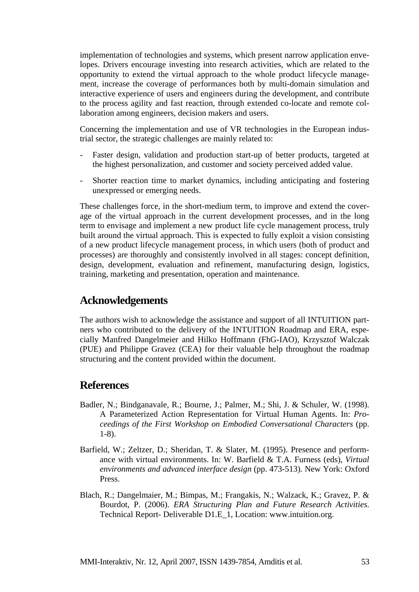implementation of technologies and systems, which present narrow application envelopes. Drivers encourage investing into research activities, which are related to the opportunity to extend the virtual approach to the whole product lifecycle management, increase the coverage of performances both by multi-domain simulation and interactive experience of users and engineers during the development, and contribute to the process agility and fast reaction, through extended co-locate and remote collaboration among engineers, decision makers and users.

Concerning the implementation and use of VR technologies in the European industrial sector, the strategic challenges are mainly related to:

- Faster design, validation and production start-up of better products, targeted at the highest personalization, and customer and society perceived added value.
- Shorter reaction time to market dynamics, including anticipating and fostering unexpressed or emerging needs.

These challenges force, in the short-medium term, to improve and extend the coverage of the virtual approach in the current development processes, and in the long term to envisage and implement a new product life cycle management process, truly built around the virtual approach. This is expected to fully exploit a vision consisting of a new product lifecycle management process, in which users (both of product and processes) are thoroughly and consistently involved in all stages: concept definition, design, development, evaluation and refinement, manufacturing design, logistics, training, marketing and presentation, operation and maintenance.

# **Acknowledgements**

The authors wish to acknowledge the assistance and support of all INTUITION partners who contributed to the delivery of the INTUITION Roadmap and ERA, especially Manfred Dangelmeier and Hilko Hoffmann (FhG-IAO), Krzysztof Walczak (PUE) and Philippe Gravez (CEA) for their valuable help throughout the roadmap structuring and the content provided within the document.

# **References**

- Badler, N.; Bindganavale, R.; Bourne, J.; Palmer, M.; Shi, J. & Schuler, W. (1998). A Parameterized Action Representation for Virtual Human Agents. In: *Proceedings of the First Workshop on Embodied Conversational Characters* (pp. 1-8).
- Barfield, W.; Zeltzer, D.; Sheridan, T. & Slater, M. (1995). Presence and performance with virtual environments. In: W. Barfield & T.A. Furness (eds), *Virtual environments and advanced interface design* (pp. 473-513)*.* New York: Oxford Press.
- Blach, R.; Dangelmaier, M.; Bimpas, M.; Frangakis, N.; Walzack, K.; Gravez, P. & Bourdot, P. (2006). *ERA Structuring Plan and Future Research Activities*. Technical Report- Deliverable D1.E\_1, Location: [www.intuition.org](http://www.intuition.org/).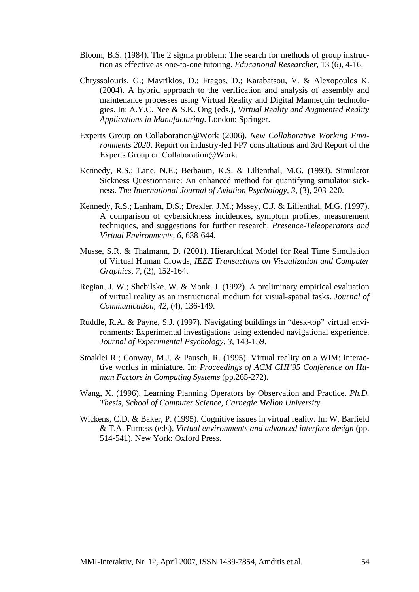- Bloom, B.S. (1984). The 2 sigma problem: The search for methods of group instruction as effective as one-to-one tutoring. *Educational Researcher*, 13 (6), 4-16.
- Chryssolouris, G.; Mavrikios, D.; Fragos, D.; Karabatsou, V. & Alexopoulos K. (2004). A hybrid approach to the verification and analysis of assembly and maintenance processes using Virtual Reality and Digital Mannequin technologies. In: A.Y.C. Nee & S.K. Ong (eds.), *Virtual Reality and Augmented Reality Applications in Manufacturing*. London: Springer.
- Experts Group on Collaboration@Work (2006). *New Collaborative Working Environments 2020*. Report on industry-led FP7 consultations and 3rd Report of the Experts Group on Collaboration@Work.
- Kennedy, R.S.; Lane, N.E.; Berbaum, K.S. & Lilienthal, M.G. (1993). Simulator Sickness Questionnaire: An enhanced method for quantifying simulator sickness. *The International Journal of Aviation Psychology, 3,* (3), 203-220.
- Kennedy, R.S.; Lanham, D.S.; Drexler, J.M.; Mssey, C.J. & Lilienthal, M.G. (1997). A comparison of cybersickness incidences, symptom profiles, measurement techniques, and suggestions for further research. *Presence-Teleoperators and Virtual Environments, 6*, 638-644.
- Musse, S.R. & Thalmann, D. (2001). Hierarchical Model for Real Time Simulation of Virtual Human Crowds, *IEEE Transactions on Visualization and Computer Graphics, 7,* (2), 152-164.
- Regian, J. W.; Shebilske, W. & Monk, J. (1992). A preliminary empirical evaluation of virtual reality as an instructional medium for visual-spatial tasks. *Journal of Communication, 42,* (4), 136-149.
- Ruddle, R.A. & Payne, S.J. (1997). Navigating buildings in "desk-top" virtual environments: Experimental investigations using extended navigational experience. *Journal of Experimental Psychology, 3*, 143-159.
- Stoaklei R.; Conway, M.J. & Pausch, R. (1995). Virtual reality on a WIM: interactive worlds in miniature. In: *Proceedings of ACM CHI'95 Conference on Human Factors in Computing Systems* (pp.265-272).
- Wang, X. (1996). Learning Planning Operators by Observation and Practice. *Ph.D. Thesis, School of Computer Science, Carnegie Mellon University.*
- Wickens, C.D. & Baker, P. (1995). Cognitive issues in virtual reality. In: W. Barfield & T.A. Furness (eds), *Virtual environments and advanced interface design* (pp. 514-541). New York: Oxford Press.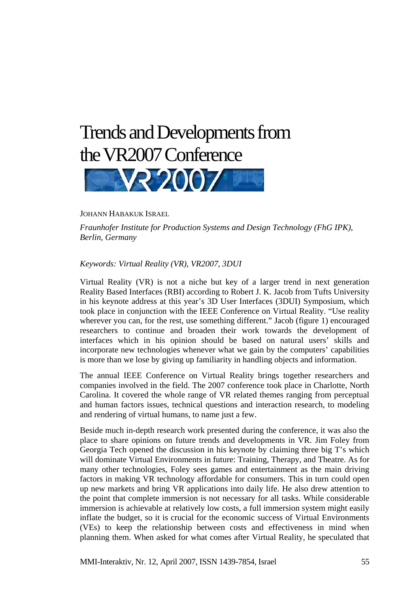# <span id="page-58-0"></span>Trends and Developments from the VR2007 Conference



JOHANN HABAKUK ISRAEL

*Fraunhofer Institute for Production Systems and Design Technology (FhG IPK), Berlin, Germany* 

*Keywords: Virtual Reality (VR), VR2007, 3DUI* 

Virtual Reality (VR) is not a niche but key of a larger trend in next generation Reality Based Interfaces (RBI) according to Robert J. K. Jacob from Tufts University in his keynote address at this year's 3D User Interfaces (3DUI) Symposium, which took place in conjunction with the IEEE Conference on Virtual Reality. "Use reality wherever you can, for the rest, use something different." Jacob (figure 1) encouraged researchers to continue and broaden their work towards the development of interfaces which in his opinion should be based on natural users' skills and incorporate new technologies whenever what we gain by the computers' capabilities is more than we lose by giving up familiarity in handling objects and information.

The annual IEEE Conference on Virtual Reality brings together researchers and companies involved in the field. The 2007 conference took place in Charlotte, North Carolina. It covered the whole range of VR related themes ranging from perceptual and human factors issues, technical questions and interaction research, to modeling and rendering of virtual humans, to name just a few.

Beside much in-depth research work presented during the conference, it was also the place to share opinions on future trends and developments in VR. Jim Foley from Georgia Tech opened the discussion in his keynote by claiming three big T's which will dominate Virtual Environments in future: Training, Therapy, and Theatre. As for many other technologies, Foley sees games and entertainment as the main driving factors in making VR technology affordable for consumers. This in turn could open up new markets and bring VR applications into daily life. He also drew attention to the point that complete immersion is not necessary for all tasks. While considerable immersion is achievable at relatively low costs, a full immersion system might easily inflate the budget, so it is crucial for the economic success of Virtual Environments (VEs) to keep the relationship between costs and effectiveness in mind when planning them. When asked for what comes after Virtual Reality, he speculated that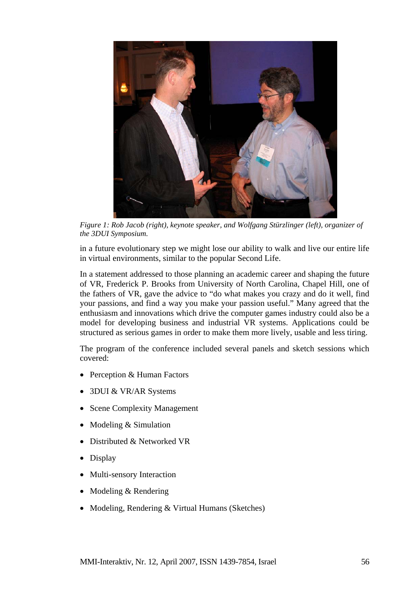

*Figure 1: Rob Jacob (right), keynote speaker, and Wolfgang Stürzlinger (left), organizer of the 3DUI Symposium.* 

in a future evolutionary step we might lose our ability to walk and live our entire life in virtual environments, similar to the popular Second Life.

In a statement addressed to those planning an academic career and shaping the future of VR, Frederick P. Brooks from University of North Carolina, Chapel Hill, one of the fathers of VR, gave the advice to "do what makes you crazy and do it well, find your passions, and find a way you make your passion useful." Many agreed that the enthusiasm and innovations which drive the computer games industry could also be a model for developing business and industrial VR systems. Applications could be structured as serious games in order to make them more lively, usable and less tiring.

The program of the conference included several panels and sketch sessions which covered:

- Perception & Human Factors
- 3DUI & VR/AR Systems
- Scene Complexity Management
- Modeling & Simulation
- Distributed & Networked VR
- Display
- Multi-sensory Interaction
- Modeling & Rendering
- Modeling, Rendering & Virtual Humans (Sketches)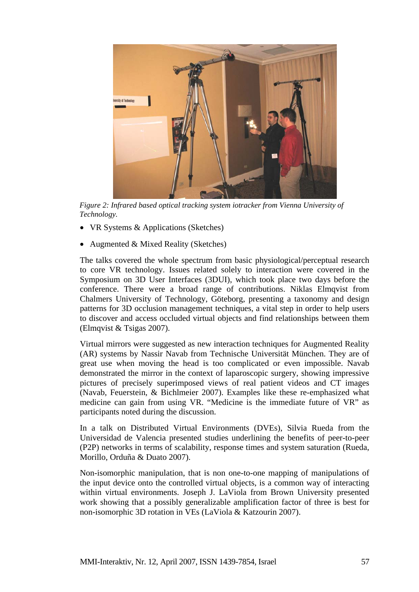

*Figure 2: Infrared based optical tracking system iotracker from Vienna University of Technology.* 

- VR Systems & Applications (Sketches)
- Augmented & Mixed Reality (Sketches)

The talks covered the whole spectrum from basic physiological/perceptual research to core VR technology. Issues related solely to interaction were covered in the Symposium on 3D User Interfaces (3DUI), which took place two days before the conference. There were a broad range of contributions. Niklas Elmqvist from Chalmers University of Technology, Göteborg, presenting a taxonomy and design patterns for 3D occlusion management techniques, a vital step in order to help users to discover and access occluded virtual objects and find relationships between them (Elmqvist & Tsigas 2007).

Virtual mirrors were suggested as new interaction techniques for Augmented Reality (AR) systems by Nassir Navab from Technische Universität München. They are of great use when moving the head is too complicated or even impossible. Navab demonstrated the mirror in the context of laparoscopic surgery, showing impressive pictures of precisely superimposed views of real patient videos and CT images (Navab, Feuerstein, & Bichlmeier 2007). Examples like these re-emphasized what medicine can gain from using VR. "Medicine is the immediate future of VR" as participants noted during the discussion.

In a talk on Distributed Virtual Environments (DVEs), Silvia Rueda from the Universidad de Valencia presented studies underlining the benefits of peer-to-peer (P2P) networks in terms of scalability, response times and system saturation (Rueda, Morillo, Orduña & Duato 2007).

Non-isomorphic manipulation, that is non one-to-one mapping of manipulations of the input device onto the controlled virtual objects, is a common way of interacting within virtual environments. Joseph J. LaViola from Brown University presented work showing that a possibly generalizable amplification factor of three is best for non-isomorphic 3D rotation in VEs (LaViola & Katzourin 2007).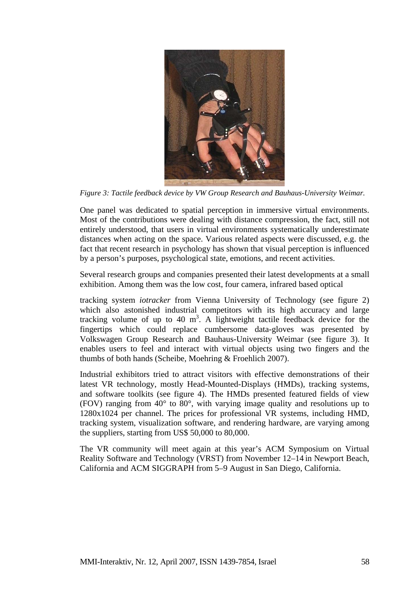

*Figure 3: Tactile feedback device by VW Group Research and Bauhaus-University Weimar.* 

One panel was dedicated to spatial perception in immersive virtual environments. Most of the contributions were dealing with distance compression, the fact, still not entirely understood, that users in virtual environments systematically underestimate distances when acting on the space. Various related aspects were discussed, e.g. the fact that recent research in psychology has shown that visual perception is influenced by a person's purposes, psychological state, emotions, and recent activities.

Several research groups and companies presented their latest developments at a small exhibition. Among them was the low cost, four camera, infrared based optical

tracking system *iotracker* from Vienna University of Technology (see figure 2) which also astonished industrial competitors with its high accuracy and large tracking volume of up to 40  $m^3$ . A lightweight tactile feedback device for the fingertips which could replace cumbersome data-gloves was presented by Volkswagen Group Research and Bauhaus-University Weimar (see figure 3). It enables users to feel and interact with virtual objects using two fingers and the thumbs of both hands (Scheibe, Moehring & Froehlich 2007).

Industrial exhibitors tried to attract visitors with effective demonstrations of their latest VR technology, mostly Head-Mounted-Displays (HMDs), tracking systems, and software toolkits (see figure 4). The HMDs presented featured fields of view (FOV) ranging from 40° to 80°, with varying image quality and resolutions up to 1280x1024 per channel. The prices for professional VR systems, including HMD, tracking system, visualization software, and rendering hardware, are varying among the suppliers, starting from US\$ 50,000 to 80,000.

The VR community will meet again at this year's ACM Symposium on Virtual Reality Software and Technology (VRST) from November 12–14 in Newport Beach, California and ACM SIGGRAPH from 5–9 August in San Diego, California.